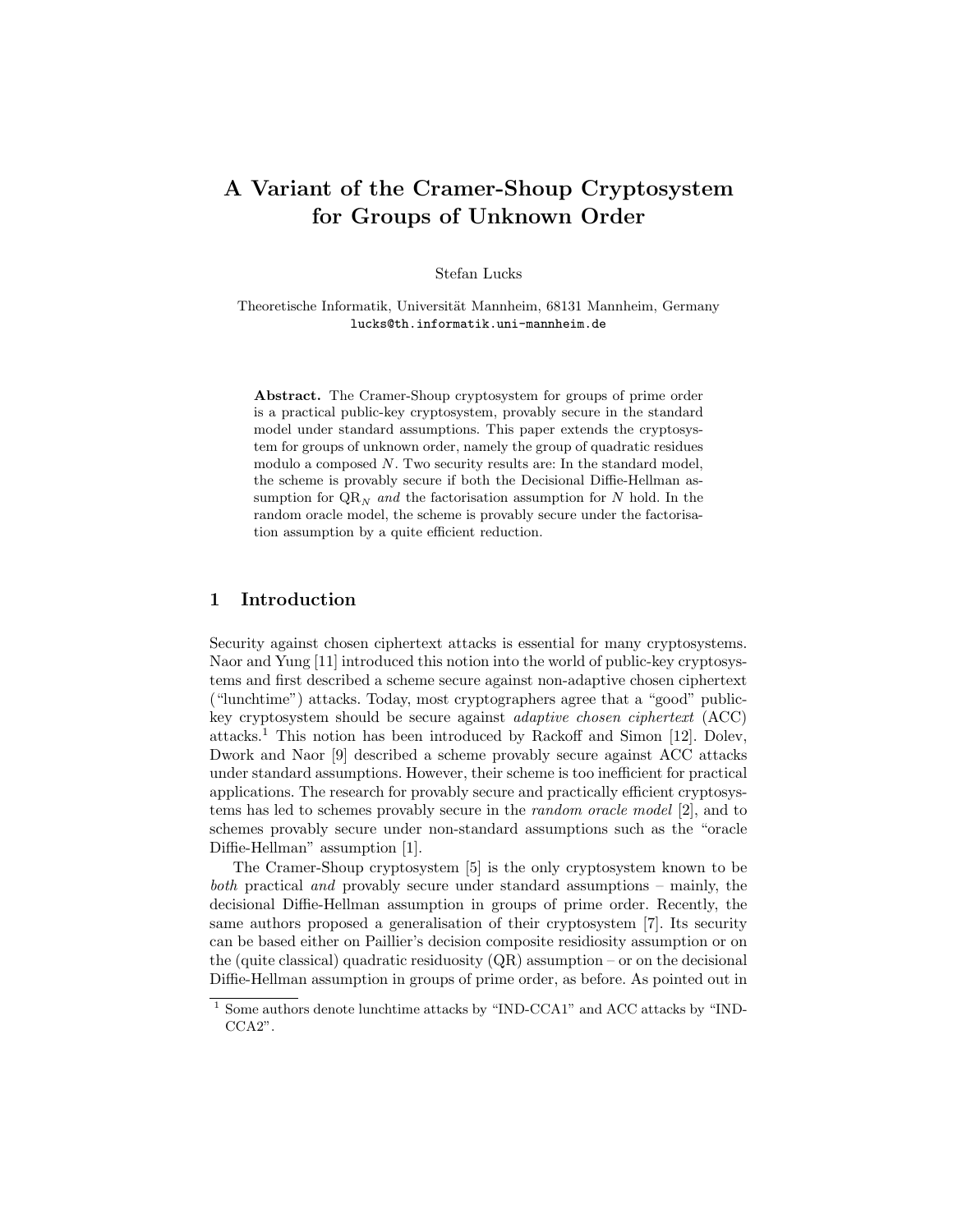# A Variant of the Cramer-Shoup Cryptosystem for Groups of Unknown Order

Stefan Lucks

Theoretische Informatik, Universität Mannheim, 68131 Mannheim, Germany lucks@th.informatik.uni-mannheim.de

Abstract. The Cramer-Shoup cryptosystem for groups of prime order is a practical public-key cryptosystem, provably secure in the standard model under standard assumptions. This paper extends the cryptosystem for groups of unknown order, namely the group of quadratic residues modulo a composed  $N$ . Two security results are: In the standard model, the scheme is provably secure if both the Decisional Diffie-Hellman assumption for  $QR_N$  and the factorisation assumption for N hold. In the random oracle model, the scheme is provably secure under the factorisation assumption by a quite efficient reduction.

# 1 Introduction

Security against chosen ciphertext attacks is essential for many cryptosystems. Naor and Yung [11] introduced this notion into the world of public-key cryptosystems and first described a scheme secure against non-adaptive chosen ciphertext ("lunchtime") attacks. Today, most cryptographers agree that a "good" publickey cryptosystem should be secure against adaptive chosen ciphertext (ACC) attacks.<sup>1</sup> This notion has been introduced by Rackoff and Simon [12]. Dolev, Dwork and Naor [9] described a scheme provably secure against ACC attacks under standard assumptions. However, their scheme is too inefficient for practical applications. The research for provably secure and practically efficient cryptosystems has led to schemes provably secure in the random oracle model [2], and to schemes provably secure under non-standard assumptions such as the "oracle Diffie-Hellman" assumption [1].

The Cramer-Shoup cryptosystem [5] is the only cryptosystem known to be both practical and provably secure under standard assumptions – mainly, the decisional Diffie-Hellman assumption in groups of prime order. Recently, the same authors proposed a generalisation of their cryptosystem [7]. Its security can be based either on Paillier's decision composite residiosity assumption or on the (quite classical) quadratic residuosity  $(QR)$  assumption – or on the decisional Diffie-Hellman assumption in groups of prime order, as before. As pointed out in

 $^{\rm 1}$  Some authors denote lunchtime attacks by "IND-CCA1" and ACC attacks by "IND-CCA2".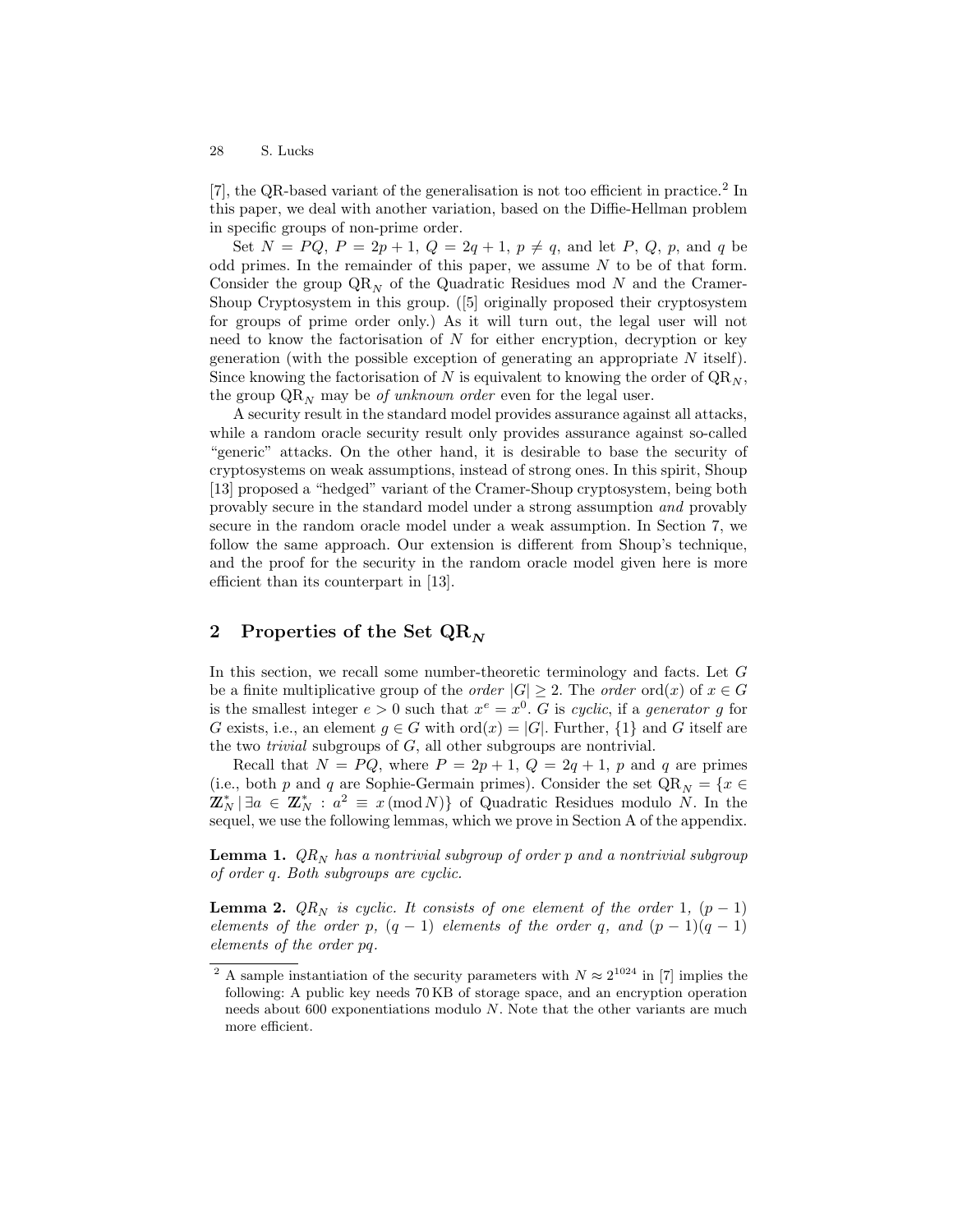[7], the QR-based variant of the generalisation is not too efficient in practice.<sup>2</sup> In this paper, we deal with another variation, based on the Diffie-Hellman problem in specific groups of non-prime order.

Set  $N = PQ, P = 2p + 1, Q = 2q + 1, p \neq q$ , and let P, Q, p, and q be odd primes. In the remainder of this paper, we assume  $N$  to be of that form. Consider the group  $QR_N$  of the Quadratic Residues mod N and the Cramer-Shoup Cryptosystem in this group. ([5] originally proposed their cryptosystem for groups of prime order only.) As it will turn out, the legal user will not need to know the factorisation of  $N$  for either encryption, decryption or key generation (with the possible exception of generating an appropriate N itself). Since knowing the factorisation of N is equivalent to knowing the order of  $QR_N$ , the group  $\mathbb{QR}_N$  may be *of unknown order* even for the legal user.

A security result in the standard model provides assurance against all attacks, while a random oracle security result only provides assurance against so-called "generic" attacks. On the other hand, it is desirable to base the security of cryptosystems on weak assumptions, instead of strong ones. In this spirit, Shoup [13] proposed a "hedged" variant of the Cramer-Shoup cryptosystem, being both provably secure in the standard model under a strong assumption and provably secure in the random oracle model under a weak assumption. In Section 7, we follow the same approach. Our extension is different from Shoup's technique, and the proof for the security in the random oracle model given here is more efficient than its counterpart in [13].

# 2 Properties of the Set  $\mathbf{QR}_N$

In this section, we recall some number-theoretic terminology and facts. Let G be a finite multiplicative group of the *order*  $|G| \geq 2$ . The *order* ord $(x)$  of  $x \in G$ is the smallest integer  $e > 0$  such that  $x^e = x^0$ . G is cyclic, if a generator g for G exists, i.e., an element  $g \in G$  with  $\text{ord}(x) = |G|$ . Further,  $\{1\}$  and G itself are the two *trivial* subgroups of  $G$ , all other subgroups are nontrivial.

Recall that  $N = PQ$ , where  $P = 2p + 1$ ,  $Q = 2q + 1$ , p and q are primes (i.e., both p and q are Sophie-Germain primes). Consider the set  $\mathbb{Q}\mathbb{R}_N = \{x \in$  $\mathbb{Z}_N^* \mid \exists a \in \mathbb{Z}_N^* : a^2 \equiv x \pmod{N}$  of Quadratic Residues modulo N. In the sequel, we use the following lemmas, which we prove in Section A of the appendix.

**Lemma 1.**  $QR_N$  has a nontrivial subgroup of order p and a nontrivial subgroup of order q. Both subgroups are cyclic.

**Lemma 2.**  $QR_N$  is cyclic. It consists of one element of the order 1,  $(p-1)$ elements of the order p,  $(q - 1)$  elements of the order q, and  $(p - 1)(q - 1)$ elements of the order pq.

<sup>&</sup>lt;sup>2</sup> A sample instantiation of the security parameters with  $N \approx 2^{1024}$  in [7] implies the following: A public key needs 70 KB of storage space, and an encryption operation needs about 600 exponentiations modulo N. Note that the other variants are much more efficient.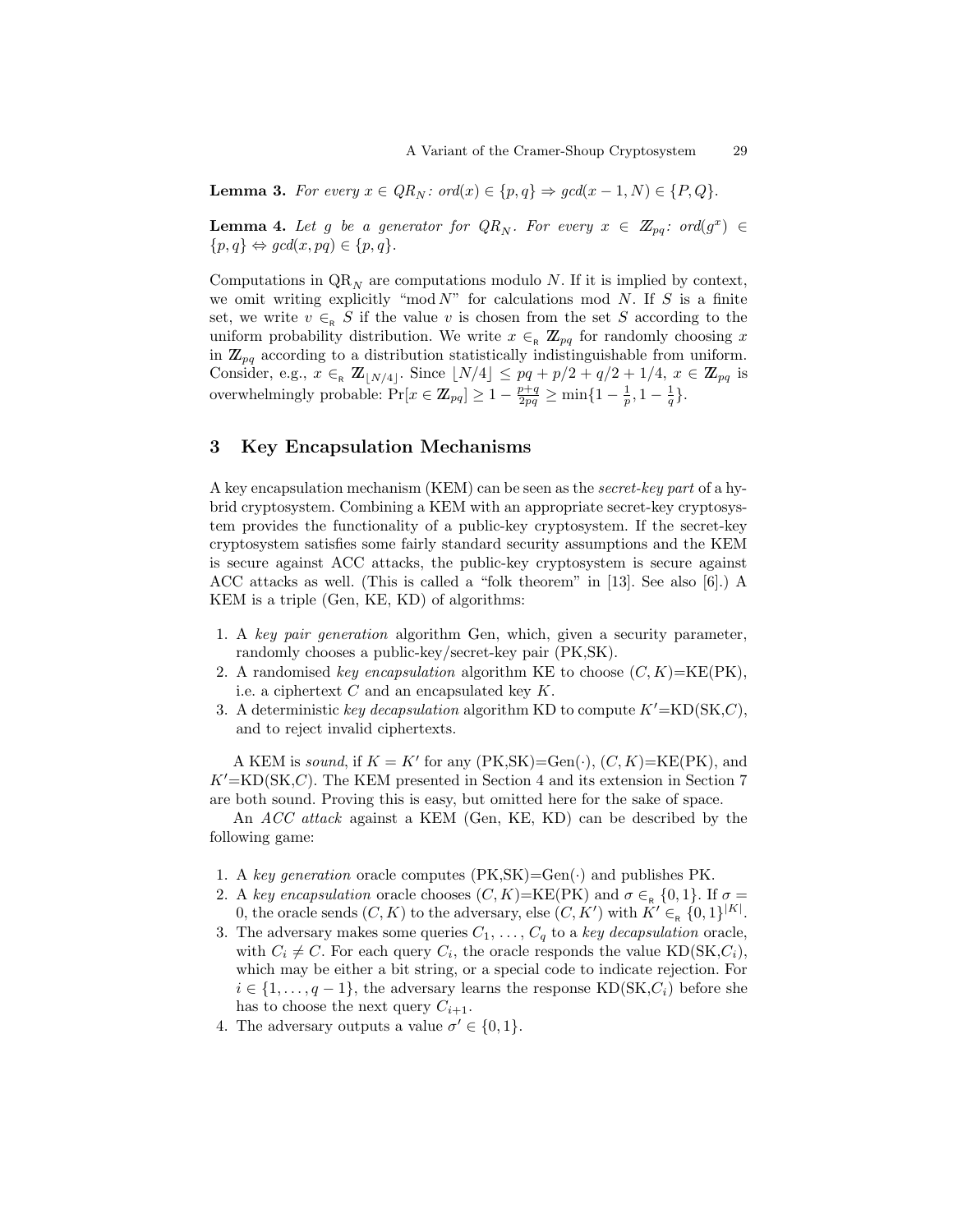**Lemma 3.** For every  $x \in QR_N$ : ord $(x) \in \{p, q\} \Rightarrow \gcd(x - 1, N) \in \{P, Q\}.$ 

**Lemma 4.** Let g be a generator for  $QR_N$ . For every  $x \in \mathbb{Z}_{pq}$ : ord $(g^x) \in$  $\{p, q\} \Leftrightarrow \text{gcd}(x, pq) \in \{p, q\}.$ 

Computations in  $\mathrm{QR}_{N}$  are computations modulo N. If it is implied by context, we omit writing explicitly "mod  $N$ " for calculations mod N. If S is a finite set, we write  $v \in_R S$  if the value v is chosen from the set S according to the uniform probability distribution. We write  $x \in_R \mathbb{Z}_{pq}$  for randomly choosing x in  $\mathbb{Z}_{pq}$  according to a distribution statistically indistinguishable from uniform. Consider, e.g.,  $x \in R \mathbb{Z}_{\lfloor N/4 \rfloor}$ . Since  $\lfloor N/4 \rfloor \leq pq + p/2 + q/2 + 1/4, x \in \mathbb{Z}_{pq}$  is overwhelmingly probable:  $Pr[x \in \mathbb{Z}_{pq}] \geq 1 - \frac{p+q}{2pq} \geq \min\{1 - \frac{1}{p}, 1 - \frac{1}{q}\}.$ 

## 3 Key Encapsulation Mechanisms

A key encapsulation mechanism (KEM) can be seen as the secret-key part of a hybrid cryptosystem. Combining a KEM with an appropriate secret-key cryptosystem provides the functionality of a public-key cryptosystem. If the secret-key cryptosystem satisfies some fairly standard security assumptions and the KEM is secure against ACC attacks, the public-key cryptosystem is secure against ACC attacks as well. (This is called a "folk theorem" in [13]. See also [6].) A KEM is a triple (Gen, KE, KD) of algorithms:

- 1. A key pair generation algorithm Gen, which, given a security parameter, randomly chooses a public-key/secret-key pair (PK,SK).
- 2. A randomised key encapsulation algorithm KE to choose  $(C, K) = \text{KE(PK)}$ , i.e. a ciphertext  $C$  and an encapsulated key  $K$ .
- 3. A deterministic key decapsulation algorithm KD to compute  $K' = \text{KD}(\text{SK},C)$ , and to reject invalid ciphertexts.

A KEM is sound, if  $K = K'$  for any  $(PK, SK) = Gen(\cdot), (C, K) = KE(PK)$ , and  $K'$ =KD(SK,C). The KEM presented in Section 4 and its extension in Section 7 are both sound. Proving this is easy, but omitted here for the sake of space.

An ACC attack against a KEM (Gen, KE, KD) can be described by the following game:

- 1. A key generation oracle computes  $(PK, SK) = Gen(\cdot)$  and publishes PK.
- 2. A key encapsulation oracle chooses  $(C, K)$ =KE(PK) and  $\sigma \in R$  {0,1}. If  $\sigma =$ 0, the oracle sends  $(C, K)$  to the adversary, else  $(C, K')$  with  $K' \in R \{0, 1\}^{|K|}$ .
- 3. The adversary makes some queries  $C_1, \ldots, C_q$  to a key decapsulation oracle, with  $C_i \neq C$ . For each query  $C_i$ , the oracle responds the value KD(SK, $C_i$ ), which may be either a bit string, or a special code to indicate rejection. For  $i \in \{1, \ldots, q-1\}$ , the adversary learns the response KD(SK, $C_i$ ) before she has to choose the next query  $C_{i+1}$ .
- 4. The adversary outputs a value  $\sigma' \in \{0, 1\}.$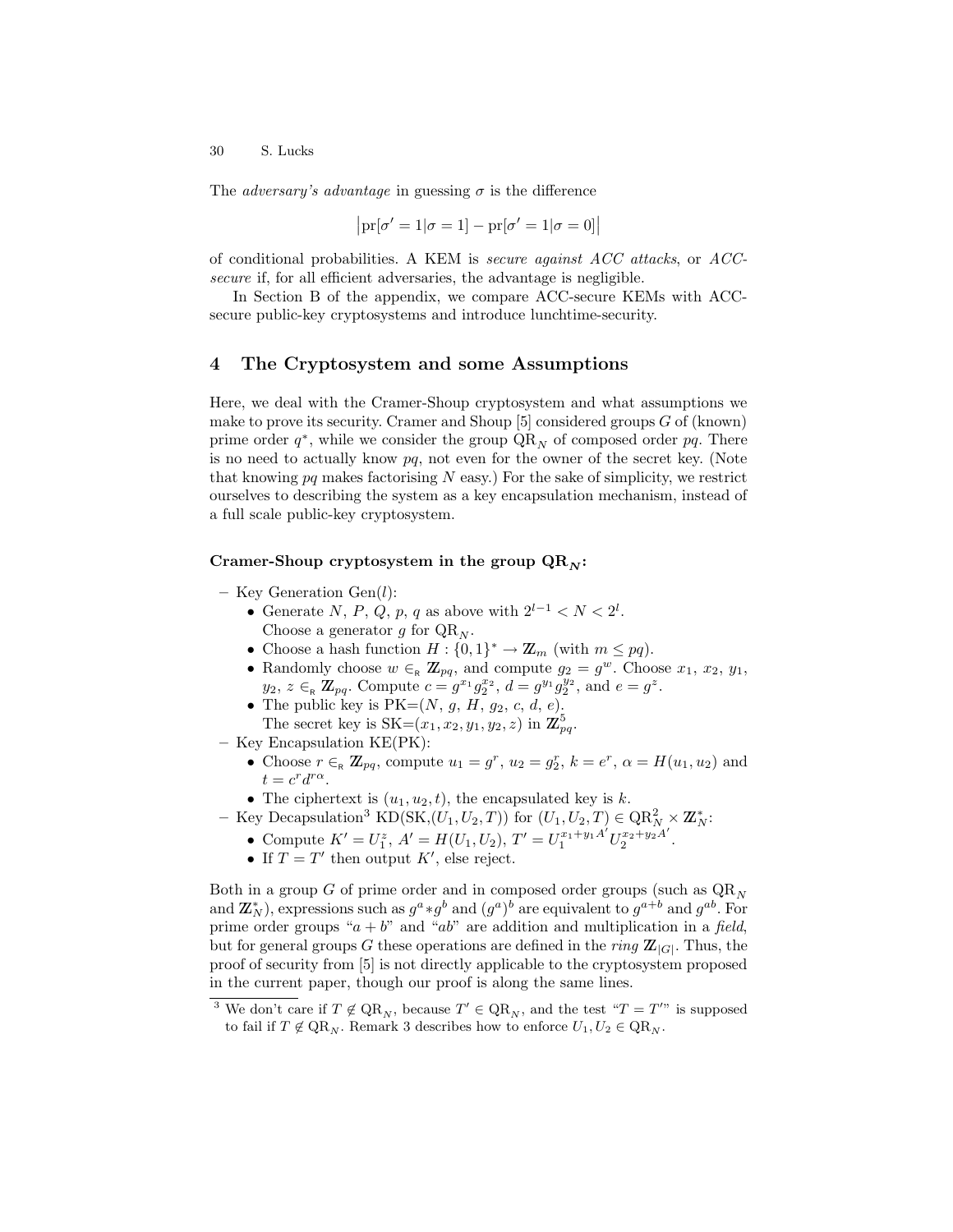The *adversary's advantage* in guessing  $\sigma$  is the difference

$$
\left|\text{pr}[\sigma'=1|\sigma=1]-\text{pr}[\sigma'=1|\sigma=0]\right|
$$

of conditional probabilities. A KEM is secure against ACC attacks, or ACCsecure if, for all efficient adversaries, the advantage is negligible.

In Section B of the appendix, we compare ACC-secure KEMs with ACCsecure public-key cryptosystems and introduce lunchtime-security.

#### 4 The Cryptosystem and some Assumptions

Here, we deal with the Cramer-Shoup cryptosystem and what assumptions we make to prove its security. Cramer and Shoup [5] considered groups G of (known) prime order  $q^*$ , while we consider the group  $\mathrm{QR}_N$  of composed order  $pq$ . There is no need to actually know  $pq$ , not even for the owner of the secret key. (Note that knowing  $pq$  makes factorising  $N$  easy.) For the sake of simplicity, we restrict ourselves to describing the system as a key encapsulation mechanism, instead of a full scale public-key cryptosystem.

#### Cramer-Shoup cryptosystem in the group  $QR_N$ :

- Key Generation Gen(l):
	- Generate N, P, Q, p, q as above with  $2^{l-1} < N < 2^l$ . Choose a generator g for  $QR_N$ .
	- Choose a hash function  $H: \{0,1\}^* \to \mathbb{Z}_m$  (with  $m \leq pq$ ).
	- Randomly choose  $w \in_R \mathbb{Z}_{pq}$ , and compute  $g_2 = g^w$ . Choose  $x_1, x_2, y_1$ ,  $y_2, z \in_R \mathbb{Z}_{pq}$ . Compute  $c = g^{x_1} g_2^{x_2}, d = g^{y_1} g_2^{y_2}$ , and  $e = g^z$ .
	- The public key is  $PK=(N, g, H, g_2, c, d, e)$ . The secret key is  $SK=(x_1, x_2, y_1, y_2, z)$  in  $\mathbb{Z}_{pq}^5$ .
- Key Encapsulation KE(PK):
	- Choose  $r \in R \mathbb{Z}_{pq}$ , compute  $u_1 = g^r$ ,  $u_2 = g^r_2$ ,  $k = e^r$ ,  $\alpha = H(u_1, u_2)$  and  $t = c^r d^{r\alpha}.$
	- The ciphertext is  $(u_1, u_2, t)$ , the encapsulated key is k.
- Key Decapsulation<sup>3</sup> KD(SK, $(U_1, U_2, T)$ ) for  $(U_1, U_2, T) \in \mathbb{Q}R_N^2 \times \mathbb{Z}_N^*$ :
	- Compute  $K' = U_1^z$ ,  $A' = H(U_1, U_2)$ ,  $T' = U_1^{x_1+y_1A'} U_2^{x_2+y_2A'}$  $x_2+y_2A$ .
	- If  $T = T'$  then output K', else reject.

Both in a group G of prime order and in composed order groups (such as  $QR_N$ ) and  $\mathbb{Z}_N^*$ ), expressions such as  $g^a * g^b$  and  $(g^a)^b$  are equivalent to  $g^{a+b}$  and  $g^{ab}$ . For prime order groups " $a + b$ " and "ab" are addition and multiplication in a field, but for general groups G these operations are defined in the *ring*  $\mathbb{Z}_{|G|}$ . Thus, the proof of security from [5] is not directly applicable to the cryptosystem proposed in the current paper, though our proof is along the same lines.

<sup>&</sup>lt;sup>3</sup> We don't care if  $T \notin QR_N$ , because  $T' \in QR_N$ , and the test " $T = T''$ " is supposed to fail if  $T \notin \mathbb{QR}_N$ . Remark 3 describes how to enforce  $U_1, U_2 \in \mathbb{QR}_N$ .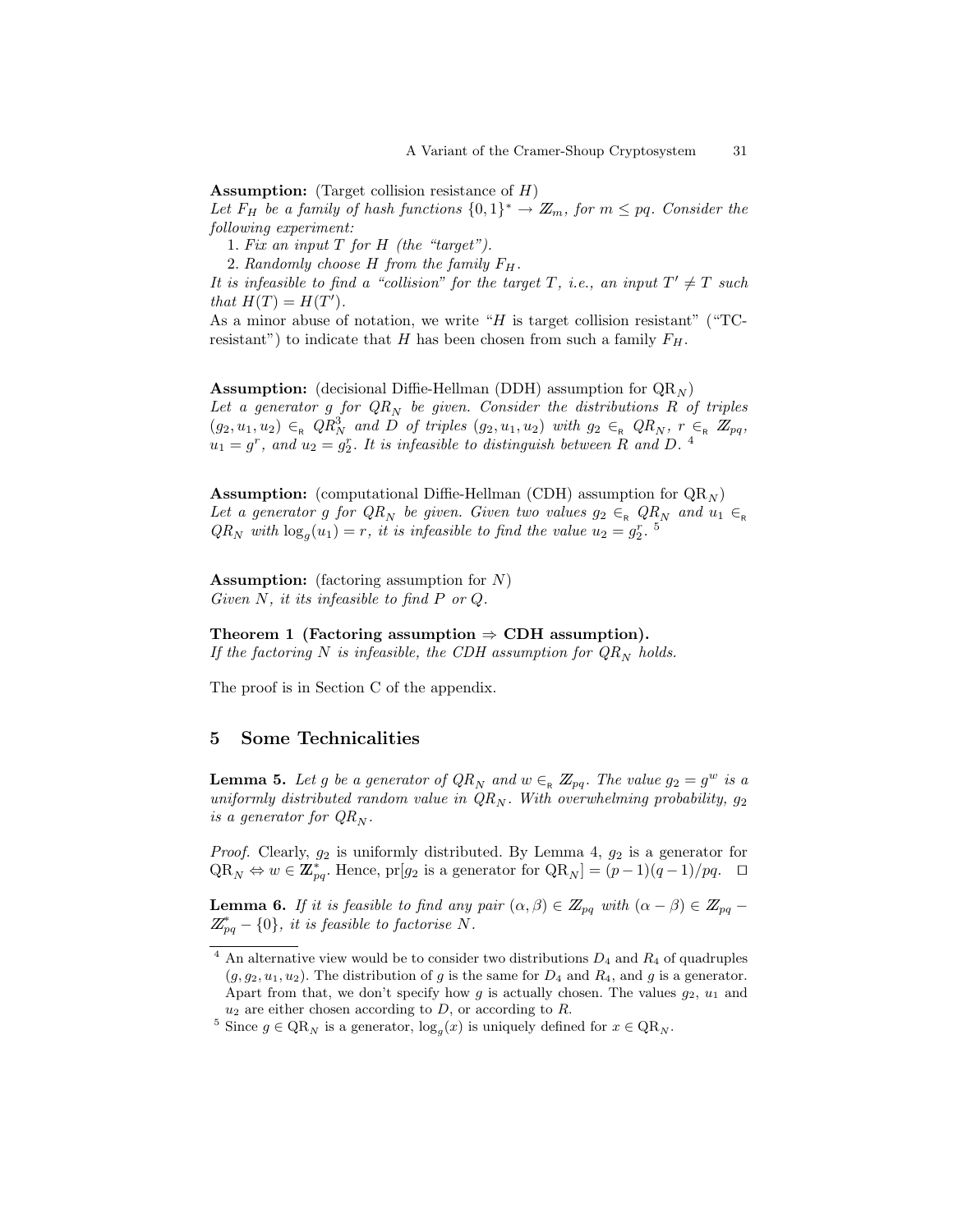**Assumption:** (Target collision resistance of  $H$ )

Let  $F_H$  be a family of hash functions  $\{0,1\}^* \to \mathbb{Z}_m$ , for  $m \leq pq$ . Consider the following experiment:

1. Fix an input  $T$  for  $H$  (the "target").

2. Randomly choose  $H$  from the family  $F_H$ .

It is infeasible to find a "collision" for the target T, i.e., an input  $T' \neq T$  such that  $H(T) = H(T')$ .

As a minor abuse of notation, we write " $H$  is target collision resistant" ("TCresistant") to indicate that H has been chosen from such a family  $F_H$ .

**Assumption:** (decisional Diffie-Hellman (DDH) assumption for  $QR_N$ ) Let a generator g for  $QR_N$  be given. Consider the distributions R of triples  $(g_2, u_1, u_2) \in_R QR_N^3$  and  $\overline{D}$  of triples  $(g_2, u_1, u_2)$  with  $g_2 \in_R QR_N$ ,  $r \in_R \mathbb{Z}_{pq}$ ,  $u_1 = g^r$ , and  $u_2 = g_2^r$ . It is infeasible to distinguish between R and D.<sup>4</sup>

**Assumption:** (computational Diffie-Hellman (CDH) assumption for  $QR_N$ ) Let a generator g for  $QR_N$  be given. Given two values  $g_2 \in_R QR_N$  and  $u_1 \in_R$  $QR_N$  with  $\log_g(u_1) = r$ , it is infeasible to find the value  $u_2 = g_2^r$ .

**Assumption:** (factoring assumption for  $N$ ) Given N, it its infeasible to find P or Q.

#### Theorem 1 (Factoring assumption  $\Rightarrow$  CDH assumption).

If the factoring N is infeasible, the CDH assumption for  $QR_N$  holds.

The proof is in Section C of the appendix.

## 5 Some Technicalities

**Lemma 5.** Let g be a generator of  $QR_N$  and  $w \in_R \mathbb{Z}_{pq}$ . The value  $g_2 = g^w$  is a uniformly distributed random value in  $QR_N$ . With overwhelming probability,  $g_2$ is a generator for  $QR_N$ .

*Proof.* Clearly,  $g_2$  is uniformly distributed. By Lemma 4,  $g_2$  is a generator for  $QR_N \Leftrightarrow w \in \mathbb{Z}_{pq}^*$ . Hence, pr[g<sub>2</sub> is a generator for  $QR_N] = (p-1)(q-1)/pq$ .  $\Box$ 

**Lemma 6.** If it is feasible to find any pair  $(\alpha, \beta) \in \mathbb{Z}_{pq}$  with  $(\alpha - \beta) \in \mathbb{Z}_{pq}$  $\mathbb{Z}_{pq}^* - \{0\},\; it\; is\; feasible\; to\; factorise\; N.$ 

 $4$  An alternative view would be to consider two distributions  $D_4$  and  $R_4$  of quadruples  $(g, g_2, u_1, u_2)$ . The distribution of g is the same for  $D_4$  and  $R_4$ , and g is a generator. Apart from that, we don't specify how g is actually chosen. The values  $g_2$ ,  $u_1$  and  $u_2$  are either chosen according to  $D$ , or according to  $R$ .

<sup>&</sup>lt;sup>5</sup> Since  $g \in \mathbb{Q}R_N$  is a generator,  $\log_g(x)$  is uniquely defined for  $x \in \mathbb{Q}R_N$ .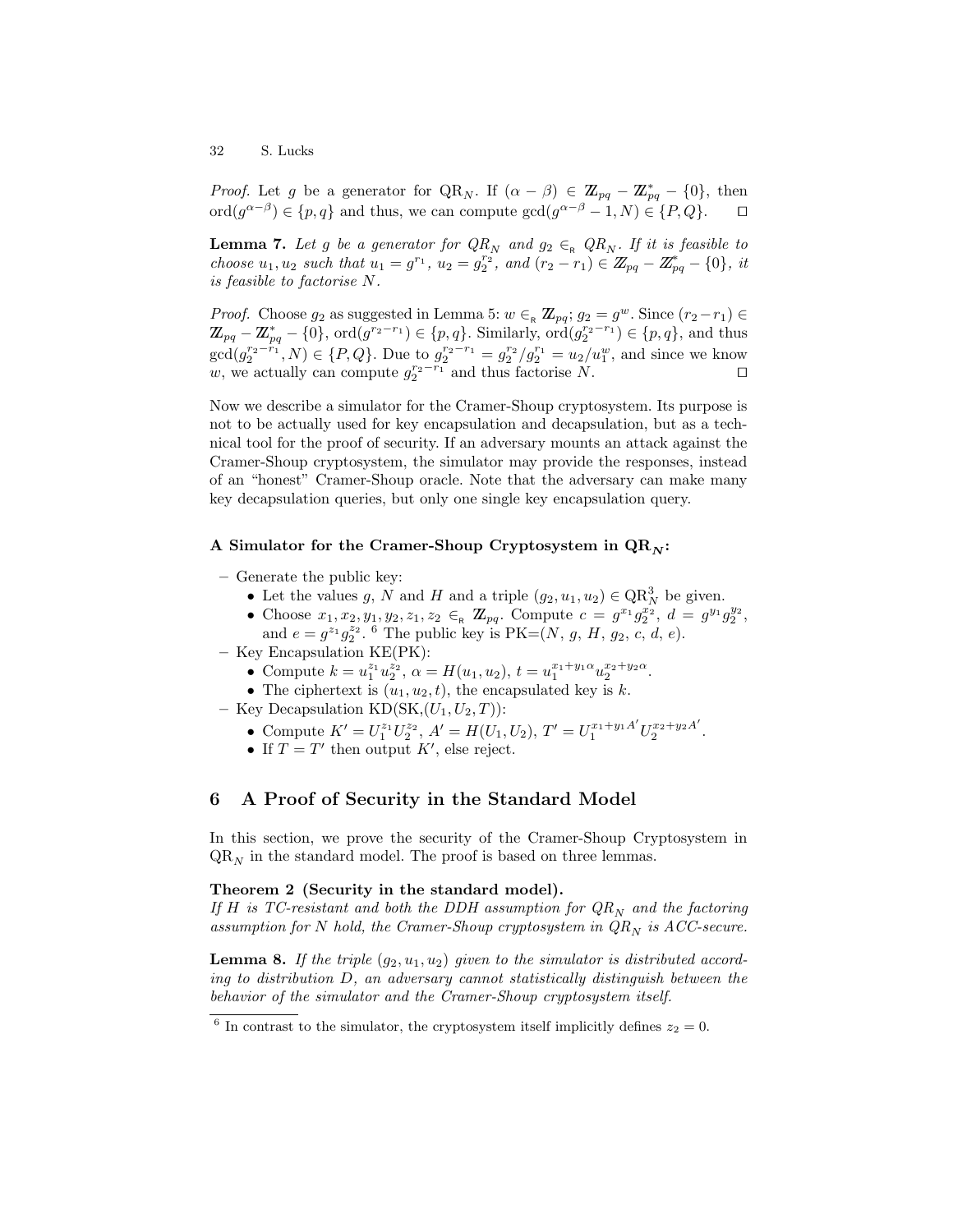*Proof.* Let g be a generator for  $QR_N$ . If  $(\alpha - \beta) \in \mathbb{Z}_{pq} - \mathbb{Z}_{pq}^* - \{0\}$ , then  $\text{ord}(g^{\alpha-\beta}) \in \{p,q\}$  and thus, we can compute  $\text{gcd}(g^{\alpha-\beta}-1,N) \in \{P,Q\}.$   $\Box$ 

**Lemma 7.** Let g be a generator for  $QR_N$  and  $g_2 \in_R QR_N$ . If it is feasible to choose  $u_1, u_2$  such that  $u_1 = g^{r_1}, u_2 = g_2^{r_2},$  and  $(r_2 - r_1) \in \mathbb{Z}_{pq} - \mathbb{Z}_{pq}^* - \{0\},$  it is feasible to factorise N.

*Proof.* Choose  $g_2$  as suggested in Lemma 5:  $w \in R \mathbb{Z}_{pq}$ ;  $g_2 = g^w$ . Since  $(r_2 - r_1) \in R$  $\mathbb{Z}_{pq} - \mathbb{Z}_{pq}^* - \{0\}$ ,  $\text{ord}(g^{r_2-r_1}) \in \{p,q\}$ . Similarly,  $\text{ord}(g_2^{r_2-r_1}) \in \{p,q\}$ , and thus  $gcd(g_2^{r_2-r_1}, N) \in \{P, Q\}$ . Due to  $g_2^{r_2-r_1} = g_2^{r_2}/g_2^{r_1} = u_2/u_1^w$ , and since we know w, we actually can compute  $g_2^{r_2-r_1}$  and thus factorise N.  $\square$ 

Now we describe a simulator for the Cramer-Shoup cryptosystem. Its purpose is not to be actually used for key encapsulation and decapsulation, but as a technical tool for the proof of security. If an adversary mounts an attack against the Cramer-Shoup cryptosystem, the simulator may provide the responses, instead of an "honest" Cramer-Shoup oracle. Note that the adversary can make many key decapsulation queries, but only one single key encapsulation query.

#### A Simulator for the Cramer-Shoup Cryptosystem in  $QR_N$ :

- Generate the public key:
	- Let the values g, N and H and a triple  $(g_2, u_1, u_2) \in QR_N^3$  be given.
	- Choose  $x_1, x_2, y_1, y_2, z_1, z_2 \in_R \mathbb{Z}_{pq}$ . Compute  $c = g^{x_1} g_2^{x_2}, d = g^{y_1} g_2^{y_2}$ , and  $e = g^{z_1} g_2^{z_2}$ . <sup>6</sup> The public key is  $PK = (N, g, H, g_2, c, d, e)$ .
- Key Encapsulation KE(PK):
	- Compute  $k = u_1^{z_1} u_2^{z_2}, \ \alpha = H(u_1, u_2), \ t = u_1^{x_1 + y_1 \alpha} u_2^{x_2 + y_2 \alpha}.$
	- The ciphertext is  $(u_1, u_2, t)$ , the encapsulated key is k.
- Key Decapsulation  $KD(SK,(U_1,U_2,T))$ :
	- Compute  $K' = U_1^{z_1} U_2^{z_2}$ ,  $A' = H(U_1, U_2)$ ,  $T' = U_1^{x_1+y_1A'} U_2^{x_2+y_2A'}$  $x_2+y_2A$ .
	- If  $T = T'$  then output K', else reject.

## 6 A Proof of Security in the Standard Model

In this section, we prove the security of the Cramer-Shoup Cryptosystem in  $QR_N$  in the standard model. The proof is based on three lemmas.

#### Theorem 2 (Security in the standard model).

If H is TC-resistant and both the DDH assumption for  $QR_N$  and the factoring assumption for N hold, the Cramer-Shoup cryptosystem in  $QR_N$  is ACC-secure.

**Lemma 8.** If the triple  $(g_2, u_1, u_2)$  given to the simulator is distributed according to distribution D, an adversary cannot statistically distinguish between the behavior of the simulator and the Cramer-Shoup cryptosystem itself.

<sup>&</sup>lt;sup>6</sup> In contrast to the simulator, the cryptosystem itself implicitly defines  $z_2 = 0$ .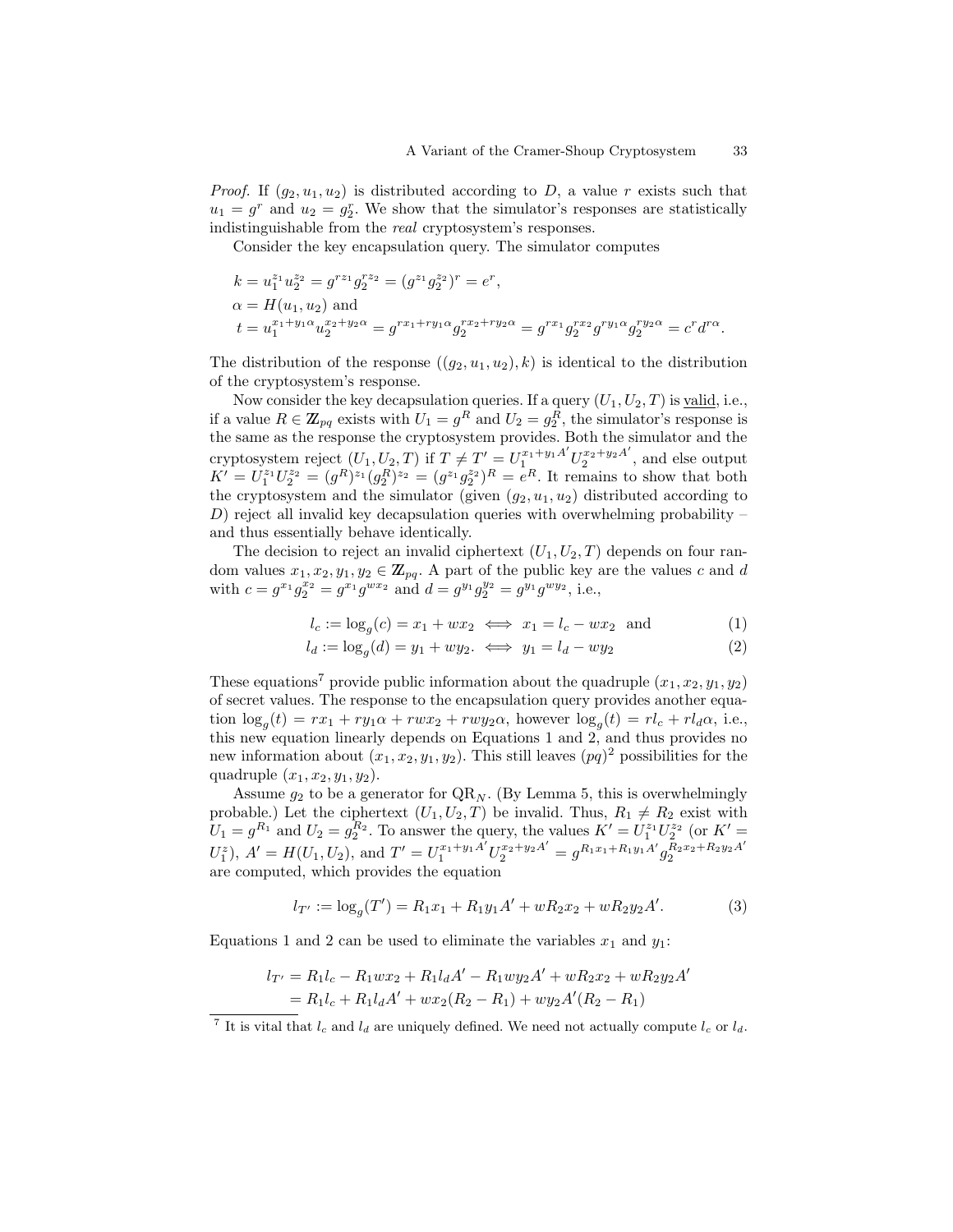*Proof.* If  $(g_2, u_1, u_2)$  is distributed according to D, a value r exists such that  $u_1 = g^r$  and  $u_2 = g^r_2$ . We show that the simulator's responses are statistically indistinguishable from the real cryptosystem's responses.

Consider the key encapsulation query. The simulator computes

$$
k = u_1^{z_1} u_2^{z_2} = g^{rz_1} g_2^{rz_2} = (g^{z_1} g_2^{z_2})^r = e^r,
$$
  
\n
$$
\alpha = H(u_1, u_2)
$$
 and  
\n
$$
t = u_1^{x_1 + y_1 \alpha} u_2^{x_2 + y_2 \alpha} = g^{rx_1 + ry_1 \alpha} g_2^{rx_2 + ry_2 \alpha} = g^{rx_1} g_2^{rx_2} g^{ry_1 \alpha} g_2^{ry_2 \alpha} = c^r d^{r \alpha}.
$$

The distribution of the response  $((q_2, u_1, u_2), k)$  is identical to the distribution of the cryptosystem's response.

Now consider the key decapsulation queries. If a query  $(U_1, U_2, T)$  is valid, i.e., if a value  $R \in \mathbb{Z}_{pq}$  exists with  $U_1 = g^R$  and  $U_2 = g_2^R$ , the simulator's response is the same as the response the cryptosystem provides. Both the simulator and the cryptosystem reject  $(U_1, U_2, T)$  if  $T \neq T' = U_1^{x_1+y_1A'} U_2^{x_2+y_2A'}$  $2^{x_2+y_2A}$ , and else output  $K' = U_1^{z_1} U_2^{z_2} = (g^R)^{z_1} (g_2^R)^{z_2} = (g^{z_1} g_2^{z_2})^R = e^R$ . It remains to show that both the cryptosystem and the simulator (given  $(g_2, u_1, u_2)$  distributed according to  $D$ ) reject all invalid key decapsulation queries with overwhelming probability – and thus essentially behave identically.

The decision to reject an invalid ciphertext  $(U_1, U_2, T)$  depends on four random values  $x_1, x_2, y_1, y_2 \in \mathbb{Z}_{pq}$ . A part of the public key are the values c and d with  $c = g^{x_1}g_2^{x_2} = g^{x_1}g^{wx_2}$  and  $d = g^{y_1}g_2^{y_2} = g^{y_1}g^{wy_2}$ , i.e.,

$$
l_c := \log_g(c) = x_1 + wx_2 \iff x_1 = l_c - wx_2 \text{ and } (1)
$$

$$
l_d := \log_g(d) = y_1 + wy_2. \iff y_1 = l_d - wy_2 \tag{2}
$$

These equations<sup>7</sup> provide public information about the quadruple  $(x_1, x_2, y_1, y_2)$ of secret values. The response to the encapsulation query provides another equation  $\log_g(t) = rx_1 + ry_1\alpha + rw_2 + rw_2\alpha$ , however  $\log_g(t) = rl_c + rl_d\alpha$ , i.e., this new equation linearly depends on Equations 1 and 2, and thus provides no new information about  $(x_1, x_2, y_1, y_2)$ . This still leaves  $(pq)^2$  possibilities for the quadruple  $(x_1, x_2, y_1, y_2)$ .

Assume  $g_2$  to be a generator for  $QR_N$ . (By Lemma 5, this is overwhelmingly probable.) Let the ciphertext  $(U_1, U_2, T)$  be invalid. Thus,  $R_1 \neq R_2$  exist with  $U_1 = g^{R_1}$  and  $U_2 = g_2^{R_2}$ . To answer the query, the values  $K' = U_1^{z_1} U_2^{z_2}$  (or  $K' =$  $U_1^z$ ),  $A' = H(U_1, U_2)$ , and  $T' = U_1^{x_1+y_1A'} U_2^{x_2+y_2A'} = g^{R_1x_1+R_1y_1A'} g_2^{R_2x_2+R_2y_2A'}$ 2 are computed, which provides the equation

$$
l_{T'} := \log_g(T') = R_1 x_1 + R_1 y_1 A' + w R_2 x_2 + w R_2 y_2 A'. \tag{3}
$$

Equations 1 and 2 can be used to eliminate the variables  $x_1$  and  $y_1$ :

$$
l_{T'} = R_1 l_c - R_1 w x_2 + R_1 l_d A' - R_1 w y_2 A' + w R_2 x_2 + w R_2 y_2 A'
$$
  
=  $R_1 l_c + R_1 l_d A' + w x_2 (R_2 - R_1) + w y_2 A' (R_2 - R_1)$ 

<sup>&</sup>lt;sup>7</sup> It is vital that  $l_c$  and  $l_d$  are uniquely defined. We need not actually compute  $l_c$  or  $l_d$ .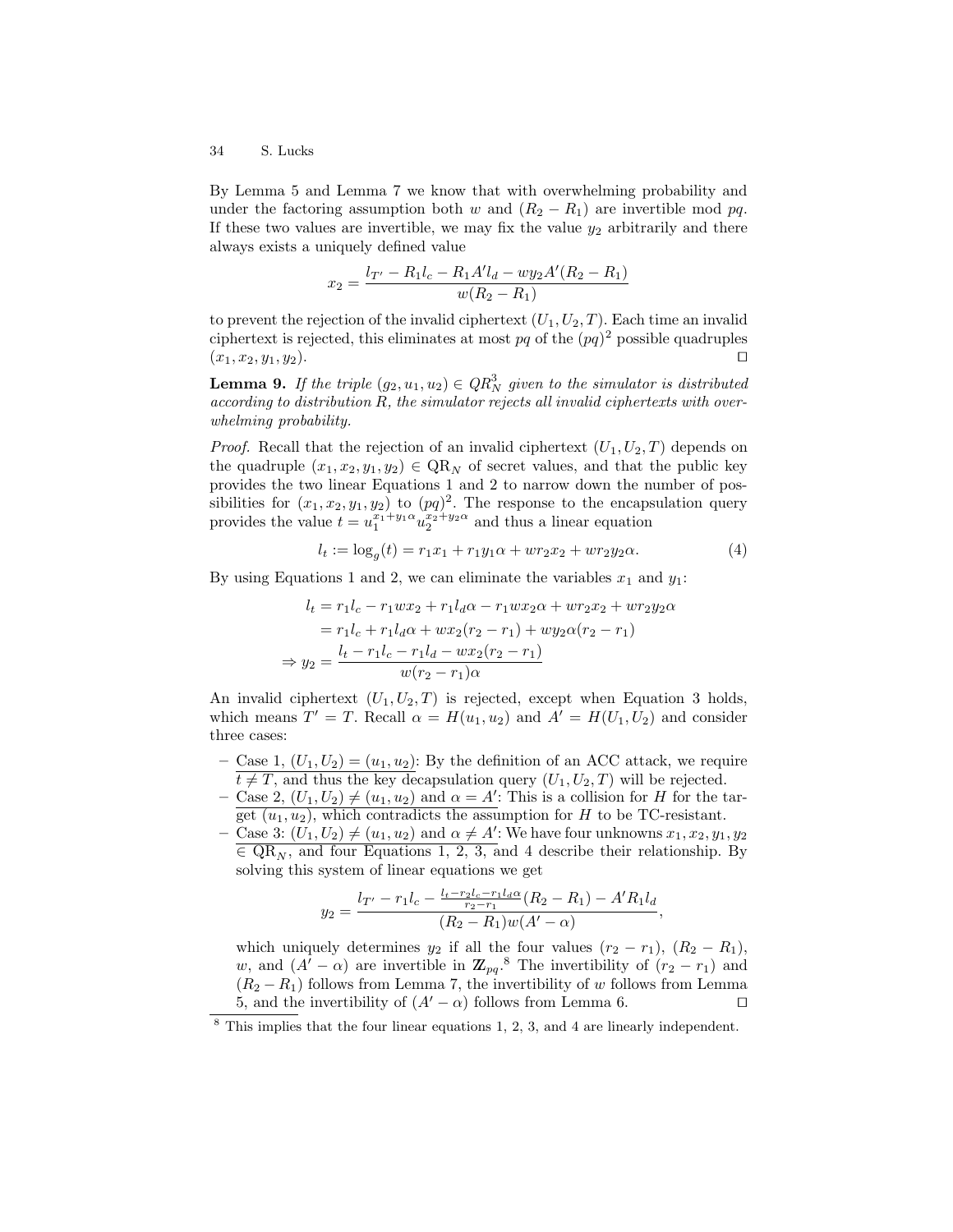By Lemma 5 and Lemma 7 we know that with overwhelming probability and under the factoring assumption both w and  $(R_2 - R_1)$  are invertible mod pq. If these two values are invertible, we may fix the value  $y_2$  arbitrarily and there always exists a uniquely defined value

$$
x_2 = \frac{l_{T'} - R_1 l_c - R_1 A' l_d - w y_2 A' (R_2 - R_1)}{w (R_2 - R_1)}
$$

to prevent the rejection of the invalid ciphertext  $(U_1, U_2, T)$ . Each time an invalid ciphertext is rejected, this eliminates at most  $pq$  of the  $(pq)^2$  possible quadruples  $(x_1, x_2, y_1, y_2).$ 

**Lemma 9.** If the triple  $(g_2, u_1, u_2) \in QR_N^3$  given to the simulator is distributed according to distribution R, the simulator rejects all invalid ciphertexts with overwhelming probability.

*Proof.* Recall that the rejection of an invalid ciphertext  $(U_1, U_2, T)$  depends on the quadruple  $(x_1, x_2, y_1, y_2) \in QR_N$  of secret values, and that the public key provides the two linear Equations 1 and 2 to narrow down the number of possibilities for  $(x_1, x_2, y_1, y_2)$  to  $(pq)^2$ . The response to the encapsulation query provides the value  $t = u_1^{x_1 + y_1 \alpha} u_2^{x_2 + y_2 \alpha}$  and thus a linear equation

$$
l_t := \log_g(t) = r_1 x_1 + r_1 y_1 \alpha + w r_2 x_2 + w r_2 y_2 \alpha. \tag{4}
$$

By using Equations 1 and 2, we can eliminate the variables  $x_1$  and  $y_1$ :

$$
l_t = r_1 l_c - r_1 w x_2 + r_1 l_d \alpha - r_1 w x_2 \alpha + w r_2 x_2 + w r_2 y_2 \alpha
$$
  
=  $r_1 l_c + r_1 l_d \alpha + w x_2 (r_2 - r_1) + w y_2 \alpha (r_2 - r_1)$   

$$
\Rightarrow y_2 = \frac{l_t - r_1 l_c - r_1 l_d - w x_2 (r_2 - r_1)}{w (r_2 - r_1) \alpha}
$$

An invalid ciphertext  $(U_1, U_2, T)$  is rejected, except when Equation 3 holds, which means  $T' = T$ . Recall  $\alpha = H(u_1, u_2)$  and  $A' = H(U_1, U_2)$  and consider three cases:

- Case 1,  $(U_1, U_2) = (u_1, u_2)$ : By the definition of an ACC attack, we require  $t \neq T$ , and thus the key decapsulation query  $(U_1, U_2, T)$  will be rejected.
- Case 2,  $(U_1, U_2) \neq (u_1, u_2)$  and  $\alpha = A'$ : This is a collision for H for the target  $(u_1, u_2)$ , which contradicts the assumption for H to be TC-resistant.
- Case 3:  $(U_1, U_2) \neq (u_1, u_2)$  and  $\alpha \neq A'$ : We have four unknowns  $x_1, x_2, y_1, y_2$  $\overline{\epsilon}$  QR<sub>N</sub>, and four Equations 1, 2, 3, and 4 describe their relationship. By solving this system of linear equations we get

$$
y_2 = \frac{l_{T'} - r_1 l_c - \frac{l_t - r_2 l_c - r_1 l_d \alpha}{r_2 - r_1}(R_2 - R_1) - A' R_1 l_d}{(R_2 - R_1) w (A' - \alpha)},
$$

which uniquely determines  $y_2$  if all the four values  $(r_2 - r_1)$ ,  $(R_2 - R_1)$ , w, and  $(A'-\alpha)$  are invertible in  $\mathbb{Z}_{pq}$ .<sup>8</sup> The invertibility of  $(r_2-r_1)$  and  $(R_2 - R_1)$  follows from Lemma 7, the invertibility of w follows from Lemma 5, and the invertibility of  $(A'-\alpha)$  follows from Lemma 6.  $\square$ 

<sup>8</sup> This implies that the four linear equations 1, 2, 3, and 4 are linearly independent.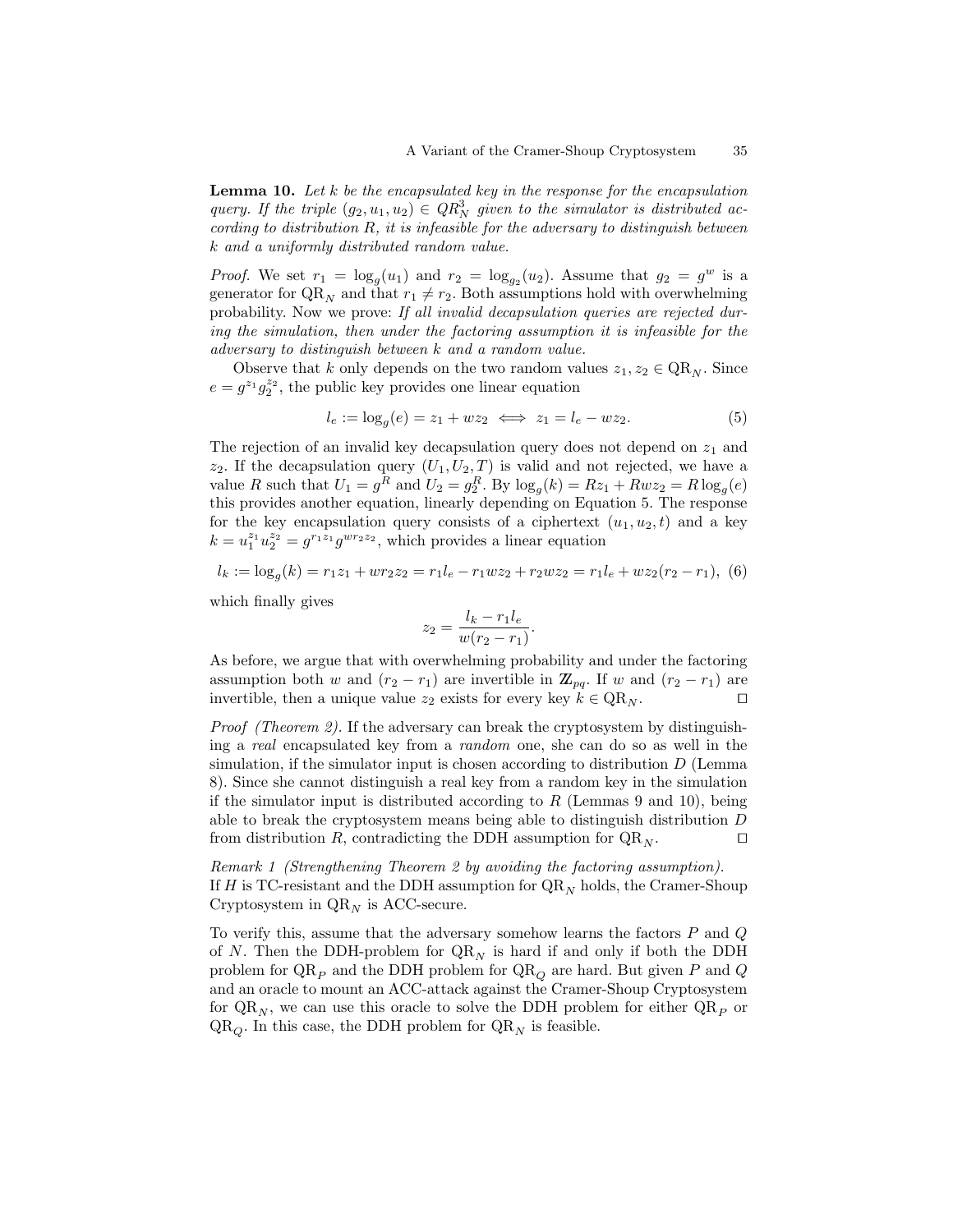**Lemma 10.** Let  $k$  be the encapsulated key in the response for the encapsulation query. If the triple  $(g_2, u_1, u_2) \in QR_N^3$  given to the simulator is distributed according to distribution R, it is infeasible for the adversary to distinguish between k and a uniformly distributed random value.

*Proof.* We set  $r_1 = \log_g(u_1)$  and  $r_2 = \log_{g_2}(u_2)$ . Assume that  $g_2 = g^w$  is a generator for  $QR_N$  and that  $r_1 \neq r_2$ . Both assumptions hold with overwhelming probability. Now we prove: If all invalid decapsulation queries are rejected during the simulation, then under the factoring assumption it is infeasible for the adversary to distinguish between k and a random value.

Observe that k only depends on the two random values  $z_1, z_2 \in QR_N$ . Since  $e = g^{z_1} g_2^{z_2}$ , the public key provides one linear equation

$$
l_e := \log_g(e) = z_1 + wz_2 \iff z_1 = l_e - wz_2. \tag{5}
$$

The rejection of an invalid key decapsulation query does not depend on  $z_1$  and  $z_2$ . If the decapsulation query  $(U_1, U_2, T)$  is valid and not rejected, we have a value R such that  $U_1 = g^R$  and  $U_2 = g_2^R$ . By  $\log_g(k) = Rz_1 + Rwz_2 = R\log_g(e)$ this provides another equation, linearly depending on Equation 5. The response for the key encapsulation query consists of a ciphertext  $(u_1, u_2, t)$  and a key  $k = u_1^{z_1} u_2^{z_2} = g^{r_1 z_1} g^{w r_2 z_2}$ , which provides a linear equation

$$
l_k := \log_g(k) = r_1 z_1 + w r_2 z_2 = r_1 l_e - r_1 w z_2 + r_2 w z_2 = r_1 l_e + w z_2 (r_2 - r_1),
$$
 (6)

which finally gives

$$
z_2 = \frac{l_k - r_1 l_e}{w(r_2 - r_1)}.
$$

As before, we argue that with overwhelming probability and under the factoring assumption both w and  $(r_2 - r_1)$  are invertible in  $\mathbb{Z}_{pq}$ . If w and  $(r_2 - r_1)$  are invertible, then a unique value  $z_2$  exists for every key  $k \in \text{QR}_N$ .

Proof (Theorem 2). If the adversary can break the cryptosystem by distinguishing a real encapsulated key from a random one, she can do so as well in the simulation, if the simulator input is chosen according to distribution  $D$  (Lemma 8). Since she cannot distinguish a real key from a random key in the simulation if the simulator input is distributed according to  $R$  (Lemmas 9 and 10), being able to break the cryptosystem means being able to distinguish distribution D from distribution R, contradicting the DDH assumption for  $QR_N$ .

Remark 1 (Strengthening Theorem 2 by avoiding the factoring assumption). If H is TC-resistant and the DDH assumption for  $QR_N$  holds, the Cramer-Shoup Cryptosystem in  $\mathbb{Q}\mathbb{R}_N$  is ACC-secure.

To verify this, assume that the adversary somehow learns the factors  $P$  and  $Q$ of N. Then the DDH-problem for  $QR_N$  is hard if and only if both the DDH problem for  $\mathrm{QR}_P$  and the DDH problem for  $\mathrm{QR}_O$  are hard. But given P and Q and an oracle to mount an ACC-attack against the Cramer-Shoup Cryptosystem for  $QR_N$ , we can use this oracle to solve the DDH problem for either  $QR_P$  or  $QR_{\mathcal{O}}$ . In this case, the DDH problem for  $QR_N$  is feasible.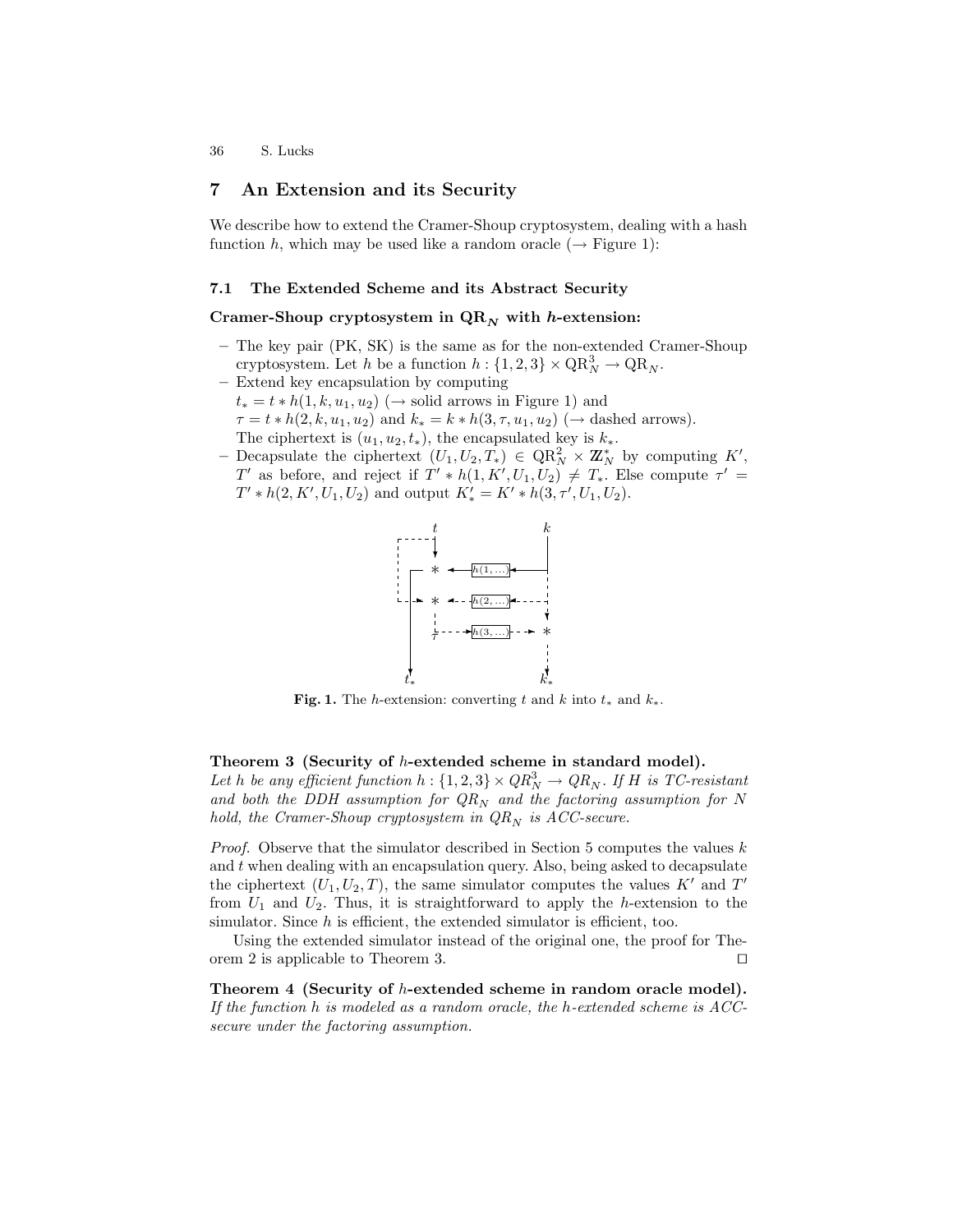# 7 An Extension and its Security

We describe how to extend the Cramer-Shoup cryptosystem, dealing with a hash function h, which may be used like a random oracle  $(\rightarrow$  Figure 1):

#### 7.1 The Extended Scheme and its Abstract Security

### Cramer-Shoup cryptosystem in  $QR_N$  with h-extension:

- The key pair (PK, SK) is the same as for the non-extended Cramer-Shoup cryptosystem. Let h be a function  $h: \{1, 2, 3\} \times \mathbb{Q} \mathbb{R}^3_N \to \mathbb{Q} \mathbb{R}_N$ .
- Extend key encapsulation by computing  $t_* = t * h(1, k, u_1, u_2)$  (→ solid arrows in Figure 1) and  $\tau = t * h(2, k, u_1, u_2)$  and  $k_* = k * h(3, \tau, u_1, u_2)$  ( $\rightarrow$  dashed arrows). The ciphertext is  $(u_1, u_2, t_*)$ , the encapsulated key is  $k_*$ .
- Decapsulate the ciphertext  $(U_1, U_2, T_*) \in QR_N^2 \times \mathbb{Z}_N^*$  by computing K', T' as before, and reject if  $T' * h(1, K', U_1, U_2) \neq T_*$ . Else compute  $\tau' =$  $T' * h(2, K', U_1, U_2)$  and output  $K'_{*} = K' * h(3, \tau', U_1, U_2)$ .



Fig. 1. The h-extension: converting t and k into  $t_*$  and  $k_*$ .

### Theorem 3 (Security of h-extended scheme in standard model).

Let h be any efficient function  $h: \{1,2,3\} \times QR_N^3 \rightarrow QR_N$ . If H is TC-resistant and both the DDH assumption for  $QR_N$  and the factoring assumption for N hold, the Cramer-Shoup cryptosystem in  $QR_N$  is ACC-secure.

*Proof.* Observe that the simulator described in Section 5 computes the values  $k$ and  $t$  when dealing with an encapsulation query. Also, being asked to decapsulate the ciphertext  $(U_1, U_2, T)$ , the same simulator computes the values K' and T' from  $U_1$  and  $U_2$ . Thus, it is straightforward to apply the h-extension to the simulator. Since  $h$  is efficient, the extended simulator is efficient, too.

Using the extended simulator instead of the original one, the proof for Theorem 2 is applicable to Theorem 3.  $\Box$ 

Theorem 4 (Security of h-extended scheme in random oracle model). If the function  $h$  is modeled as a random oracle, the  $h$ -extended scheme is  $ACC$ secure under the factoring assumption.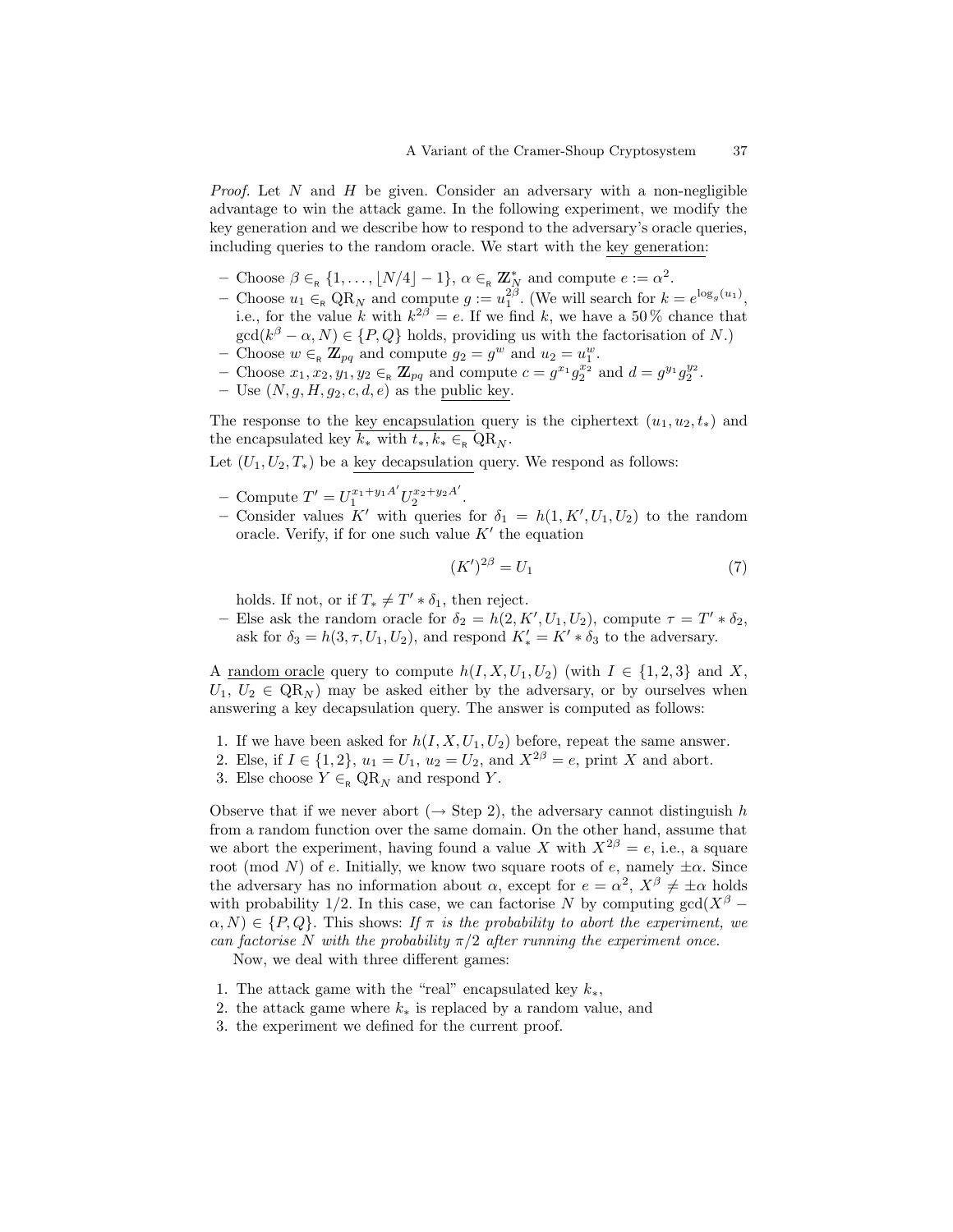*Proof.* Let  $N$  and  $H$  be given. Consider an adversary with a non-negligible advantage to win the attack game. In the following experiment, we modify the key generation and we describe how to respond to the adversary's oracle queries, including queries to the random oracle. We start with the key generation:

- Choose  $\beta \in_R \{1, \ldots, \lfloor N/4 \rfloor 1\}, \alpha \in_R \mathbb{Z}_N^*$  and compute  $e := \alpha^2$ .
- Choose  $u_1 \in_R \mathbb{Q}R_N$  and compute  $g := u_1^{2\beta}$ . (We will search for  $k = e^{\log_g(u_1)}$ , i.e., for the value k with  $k^{2\beta} = e$ . If we find k, we have a 50% chance that  $gcd(k^{\beta} - \alpha, N) \in \{P, Q\}$  holds, providing us with the factorisation of N.)
- Choose  $w \in_{\mathsf{R}} \mathbb{Z}_{pq}$  and compute  $g_2 = g^w$  and  $u_2 = u_1^w$ .
- Choose  $x_1, x_2, y_1, y_2 \in_R \mathbb{Z}_{pq}$  and compute  $c = g^{x_1} g_2^{x_2}$  and  $d = g^{y_1} g_2^{y_2}$ .
- Use  $(N, g, H, g_2, c, d, e)$  as the public key.

The response to the key encapsulation query is the ciphertext  $(u_1, u_2, t_*)$  and the encapsulated key  $k_*$  with  $t_*, k_* \in_R \mathbb{Q}R_N$ .

Let  $(U_1, U_2, T_*)$  be a key decapsulation query. We respond as follows:

- Compute  $T' = U_1^{x_1+y_1A'} U_2^{x_2+y_2A'}$  $x_2+y_2A$ .
- Consider values K' with queries for  $\delta_1 = h(1, K', U_1, U_2)$  to the random oracle. Verify, if for one such value  $K'$  the equation

$$
(K')^{2\beta} = U_1 \tag{7}
$$

holds. If not, or if  $T_* \neq T' * \delta_1$ , then reject.

- Else ask the random oracle for  $\delta_2 = h(2, K', U_1, U_2)$ , compute  $\tau = T' * \delta_2$ , ask for  $\delta_3 = h(3, \tau, U_1, U_2)$ , and respond  $K'_* = K' * \delta_3$  to the adversary.

A <u>random oracle</u> query to compute  $h(I, X, U_1, U_2)$  (with  $I \in \{1, 2, 3\}$  and X,  $U_1, U_2 \in \text{QR}_N$  may be asked either by the adversary, or by ourselves when answering a key decapsulation query. The answer is computed as follows:

- 1. If we have been asked for  $h(I, X, U_1, U_2)$  before, repeat the same answer.
- 2. Else, if  $I \in \{1, 2\}$ ,  $u_1 = U_1$ ,  $u_2 = U_2$ , and  $X^{2\beta} = e$ , print X and abort.
- 3. Else choose  $Y \in_{\mathsf{R}} \mathsf{QR}_N$  and respond Y.

Observe that if we never abort ( $\rightarrow$  Step 2), the adversary cannot distinguish h from a random function over the same domain. On the other hand, assume that we abort the experiment, having found a value X with  $X^{2\beta} = e$ , i.e., a square root (mod N) of e. Initially, we know two square roots of e, namely  $\pm \alpha$ . Since the adversary has no information about  $\alpha$ , except for  $e = \alpha^2$ ,  $X^{\beta} \neq \pm \alpha$  holds with probability 1/2. In this case, we can factorise N by computing  $gcd(X^{\beta} \alpha, N$ )  $\in \{P, Q\}$ . This shows: If  $\pi$  is the probability to abort the experiment, we can factorise N with the probability  $\pi/2$  after running the experiment once.

Now, we deal with three different games:

- 1. The attack game with the "real" encapsulated key  $k_*$ ,
- 2. the attack game where  $k_*$  is replaced by a random value, and
- 3. the experiment we defined for the current proof.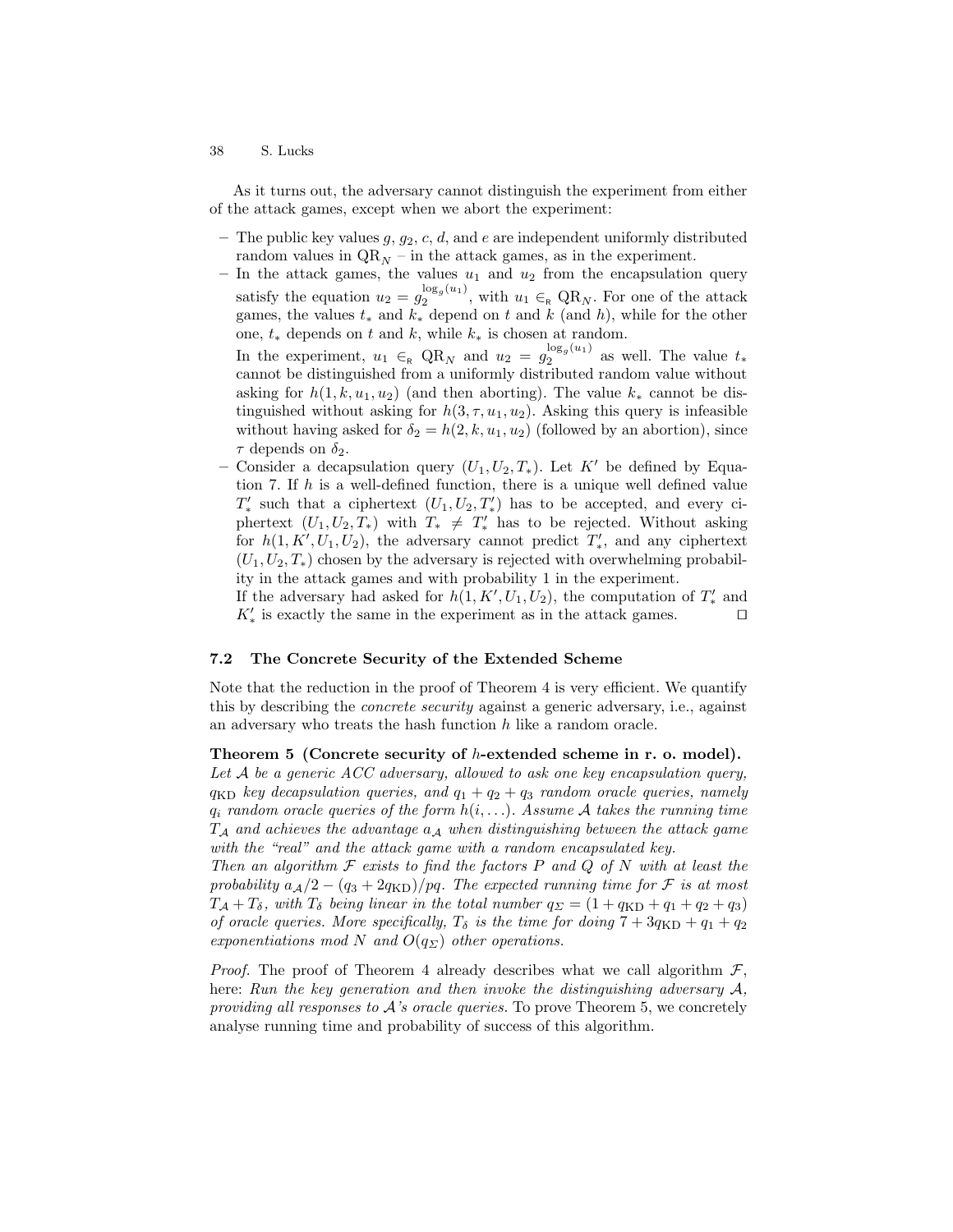As it turns out, the adversary cannot distinguish the experiment from either of the attack games, except when we abort the experiment:

- The public key values  $g, g_2, c, d$ , and e are independent uniformly distributed random values in  $QR_N$  – in the attack games, as in the experiment.
- In the attack games, the values  $u_1$  and  $u_2$  from the encapsulation query satisfy the equation  $u_2 = g_2^{\log_g(u_1)}$  $\frac{\log_q(a_1)}{2}$ , with  $u_1 \in_R \mathbb{Q}R_N$ . For one of the attack games, the values  $t_*$  and  $k_*$  depend on t and k (and h), while for the other one,  $t_*$  depends on t and k, while  $k_*$  is chosen at random.

In the experiment,  $u_1 \in_R \text{QR}_N$  and  $u_2 = g_2^{\log_g(u_1)}$  $a_2^{\log_g(u_1)}$  as well. The value  $t_*$ cannot be distinguished from a uniformly distributed random value without asking for  $h(1, k, u_1, u_2)$  (and then aborting). The value  $k_*$  cannot be distinguished without asking for  $h(3, \tau, u_1, u_2)$ . Asking this query is infeasible without having asked for  $\delta_2 = h(2, k, u_1, u_2)$  (followed by an abortion), since  $\tau$  depends on  $\delta_2$ .

– Consider a decapsulation query  $(U_1, U_2, T_*)$ . Let K' be defined by Equation 7. If h is a well-defined function, there is a unique well defined value  $T'_{*}$  such that a ciphertext  $(U_1, U_2, T'_{*})$  has to be accepted, and every ciphertext  $(U_1, U_2, T_*)$  with  $T_* \neq T'_*$  has to be rejected. Without asking for  $h(1, K', U_1, U_2)$ , the adversary cannot predict  $T'_*$ , and any ciphertext  $(U_1, U_2, T_*)$  chosen by the adversary is rejected with overwhelming probability in the attack games and with probability 1 in the experiment.

If the adversary had asked for  $h(1, K', U_1, U_2)$ , the computation of  $T'_{*}$  and  $K'_*$  is exactly the same in the experiment as in the attack games.  $\hfill \Box$ 

### 7.2 The Concrete Security of the Extended Scheme

Note that the reduction in the proof of Theorem 4 is very efficient. We quantify this by describing the concrete security against a generic adversary, i.e., against an adversary who treats the hash function  $h$  like a random oracle.

Theorem 5 (Concrete security of h-extended scheme in r. o. model). Let  $A$  be a generic  $ACC$  adversary, allowed to ask one key encapsulation query,  $q_{\text{KD}}$  key decapsulation queries, and  $q_1 + q_2 + q_3$  random oracle queries, namely

 $q_i$  random oracle queries of the form  $h(i, \ldots)$ . Assume A takes the running time  $T_A$  and achieves the advantage  $a_A$  when distinguishing between the attack game with the "real" and the attack game with a random encapsulated key.

Then an algorithm  $\mathcal F$  exists to find the factors P and Q of N with at least the probability  $a_A/2 - (q_3 + 2q_{\text{KD}})/pq$ . The expected running time for F is at most  $T_A + T_\delta$ , with  $T_\delta$  being linear in the total number  $q_\Sigma = (1 + q_{\text{KD}} + q_1 + q_2 + q_3)$ of oracle queries. More specifically,  $T_{\delta}$  is the time for doing  $7 + 3q_{\text{KD}} + q_1 + q_2$ exponentiations mod N and  $O(q_{\Sigma})$  other operations.

*Proof.* The proof of Theorem 4 already describes what we call algorithm  $\mathcal{F}$ , here: Run the key generation and then invoke the distinguishing adversary A, providing all responses to  $A$ 's oracle queries. To prove Theorem 5, we concretely analyse running time and probability of success of this algorithm.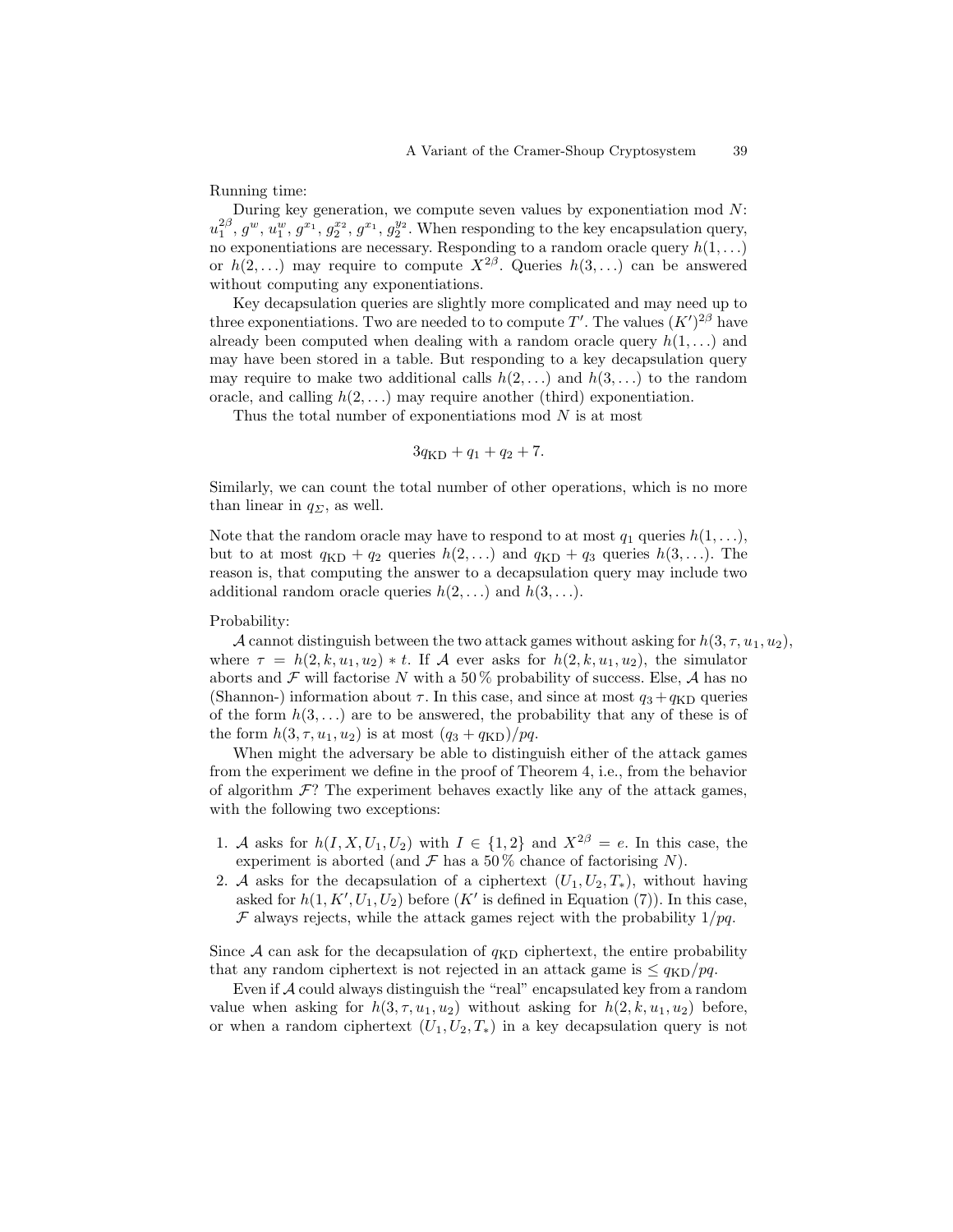Running time:

During key generation, we compute seven values by exponentiation mod  $N$ :  $u_1^{2\beta}, g^w, u_1^w, g^{x_1}, g_2^{x_2}, g^{x_1}, g_2^{y_2}$ . When responding to the key encapsulation query, no exponentiations are necessary. Responding to a random oracle query  $h(1, \ldots)$ or  $h(2,\ldots)$  may require to compute  $X^{2\beta}$ . Queries  $h(3,\ldots)$  can be answered without computing any exponentiations.

Key decapsulation queries are slightly more complicated and may need up to three exponentiations. Two are needed to to compute T'. The values  $(K')^{2\beta}$  have already been computed when dealing with a random oracle query  $h(1, \ldots)$  and may have been stored in a table. But responding to a key decapsulation query may require to make two additional calls  $h(2, \ldots)$  and  $h(3, \ldots)$  to the random oracle, and calling  $h(2, \ldots)$  may require another (third) exponentiation.

Thus the total number of exponentiations mod  $N$  is at most

$$
3q_{\rm KD} + q_1 + q_2 + 7.
$$

Similarly, we can count the total number of other operations, which is no more than linear in  $q_{\Sigma}$ , as well.

Note that the random oracle may have to respond to at most  $q_1$  queries  $h(1, \ldots)$ , but to at most  $q_{KD} + q_2$  queries  $h(2, \ldots)$  and  $q_{KD} + q_3$  queries  $h(3, \ldots)$ . The reason is, that computing the answer to a decapsulation query may include two additional random oracle queries  $h(2, \ldots)$  and  $h(3, \ldots)$ .

Probability:

A cannot distinguish between the two attack games without asking for  $h(3, \tau, u_1, u_2)$ , where  $\tau = h(2, k, u_1, u_2) * t$ . If A ever asks for  $h(2, k, u_1, u_2)$ , the simulator aborts and  $\mathcal F$  will factorise N with a 50% probability of success. Else, A has no (Shannon-) information about  $\tau$ . In this case, and since at most  $q_3 + q_{\text{KD}}$  queries of the form  $h(3,\ldots)$  are to be answered, the probability that any of these is of the form  $h(3, \tau, u_1, u_2)$  is at most  $(q_3 + q_{\text{KD}})/pq$ .

When might the adversary be able to distinguish either of the attack games from the experiment we define in the proof of Theorem 4, i.e., from the behavior of algorithm  $\mathcal{F}$ ? The experiment behaves exactly like any of the attack games, with the following two exceptions:

- 1. A asks for  $h(I, X, U_1, U_2)$  with  $I \in \{1, 2\}$  and  $X^{2\beta} = e$ . In this case, the experiment is aborted (and  $\mathcal F$  has a 50% chance of factorising N).
- 2. A asks for the decapsulation of a ciphertext  $(U_1, U_2, T_*)$ , without having asked for  $h(1, K', U_1, U_2)$  before  $(K'$  is defined in Equation (7)). In this case,  $\mathcal F$  always rejects, while the attack games reject with the probability  $1/pq$ .

Since A can ask for the decapsulation of  $q_{\text{KD}}$  ciphertext, the entire probability that any random ciphertext is not rejected in an attack game is  $\leq q_{\text{KD}}/pq$ .

Even if  $A$  could always distinguish the "real" encapsulated key from a random value when asking for  $h(3, \tau, u_1, u_2)$  without asking for  $h(2, k, u_1, u_2)$  before, or when a random ciphertext  $(U_1, U_2, T_*)$  in a key decapsulation query is not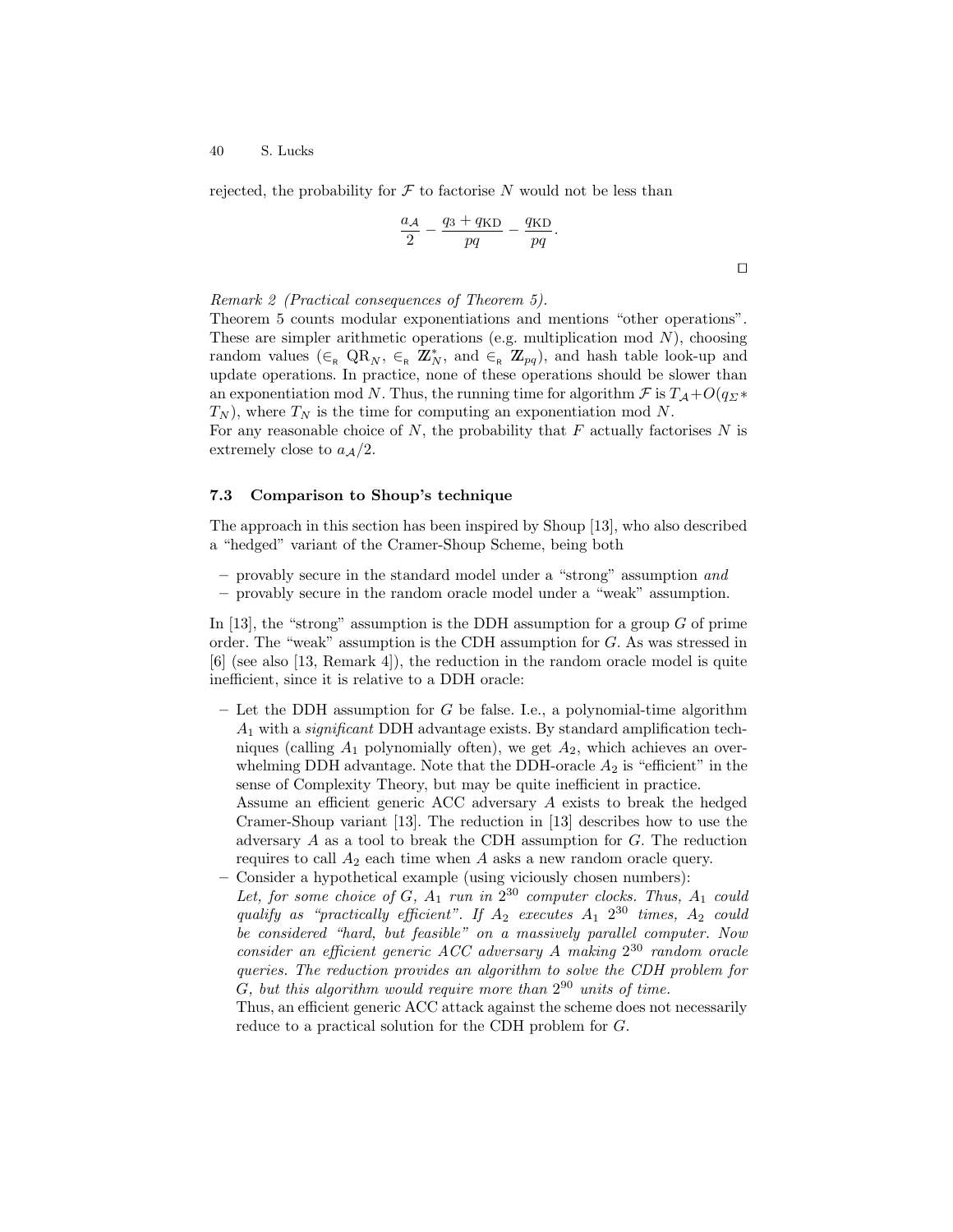rejected, the probability for  $\mathcal F$  to factorise N would not be less than

$$
\frac{a_{\mathcal{A}}}{2} - \frac{q_3 + q_{\text{KD}}}{pq} - \frac{q_{\text{KD}}}{pq}.
$$

 $\Box$ 

#### Remark 2 (Practical consequences of Theorem 5).

Theorem 5 counts modular exponentiations and mentions "other operations". These are simpler arithmetic operations (e.g. multiplication mod  $N$ ), choosing random values  $(\in_{R} \text{QR}_{N}, \in_{R} \mathbb{Z}_{N}^{*}, \text{ and } \in_{R} \mathbb{Z}_{pq})$ , and hash table look-up and update operations. In practice, none of these operations should be slower than an exponentiation mod N. Thus, the running time for algorithm  $\mathcal F$  is  $T_{\mathcal A}+O(q_{\Sigma^*})$  $T_N$ ), where  $T_N$  is the time for computing an exponentiation mod N.

For any reasonable choice of N, the probability that  $F$  actually factorises N is extremely close to  $a_A/2$ .

#### 7.3 Comparison to Shoup's technique

The approach in this section has been inspired by Shoup [13], who also described a "hedged" variant of the Cramer-Shoup Scheme, being both

- provably secure in the standard model under a "strong" assumption and
- provably secure in the random oracle model under a "weak" assumption.

In [13], the "strong" assumption is the DDH assumption for a group  $G$  of prime order. The "weak" assumption is the CDH assumption for G. As was stressed in [6] (see also [13, Remark 4]), the reduction in the random oracle model is quite inefficient, since it is relative to a DDH oracle:

 $-$  Let the DDH assumption for G be false. I.e., a polynomial-time algorithm  $A_1$  with a *significant* DDH advantage exists. By standard amplification techniques (calling  $A_1$  polynomially often), we get  $A_2$ , which achieves an overwhelming DDH advantage. Note that the DDH-oracle  $A_2$  is "efficient" in the sense of Complexity Theory, but may be quite inefficient in practice.

Assume an efficient generic ACC adversary A exists to break the hedged Cramer-Shoup variant [13]. The reduction in [13] describes how to use the adversary A as a tool to break the CDH assumption for G. The reduction requires to call  $A_2$  each time when A asks a new random oracle query. – Consider a hypothetical example (using viciously chosen numbers):

Let, for some choice of  $G$ ,  $A_1$  run in  $2^{30}$  computer clocks. Thus,  $A_1$  could qualify as "practically efficient". If  $A_2$  executes  $A_1$   $2^{30}$  times,  $A_2$  could be considered "hard, but feasible" on a massively parallel computer. Now consider an efficient generic ACC adversary A making  $2^{30}$  random oracle queries. The reduction provides an algorithm to solve the CDH problem for  $G$ , but this algorithm would require more than  $2^{90}$  units of time.

Thus, an efficient generic ACC attack against the scheme does not necessarily reduce to a practical solution for the CDH problem for G.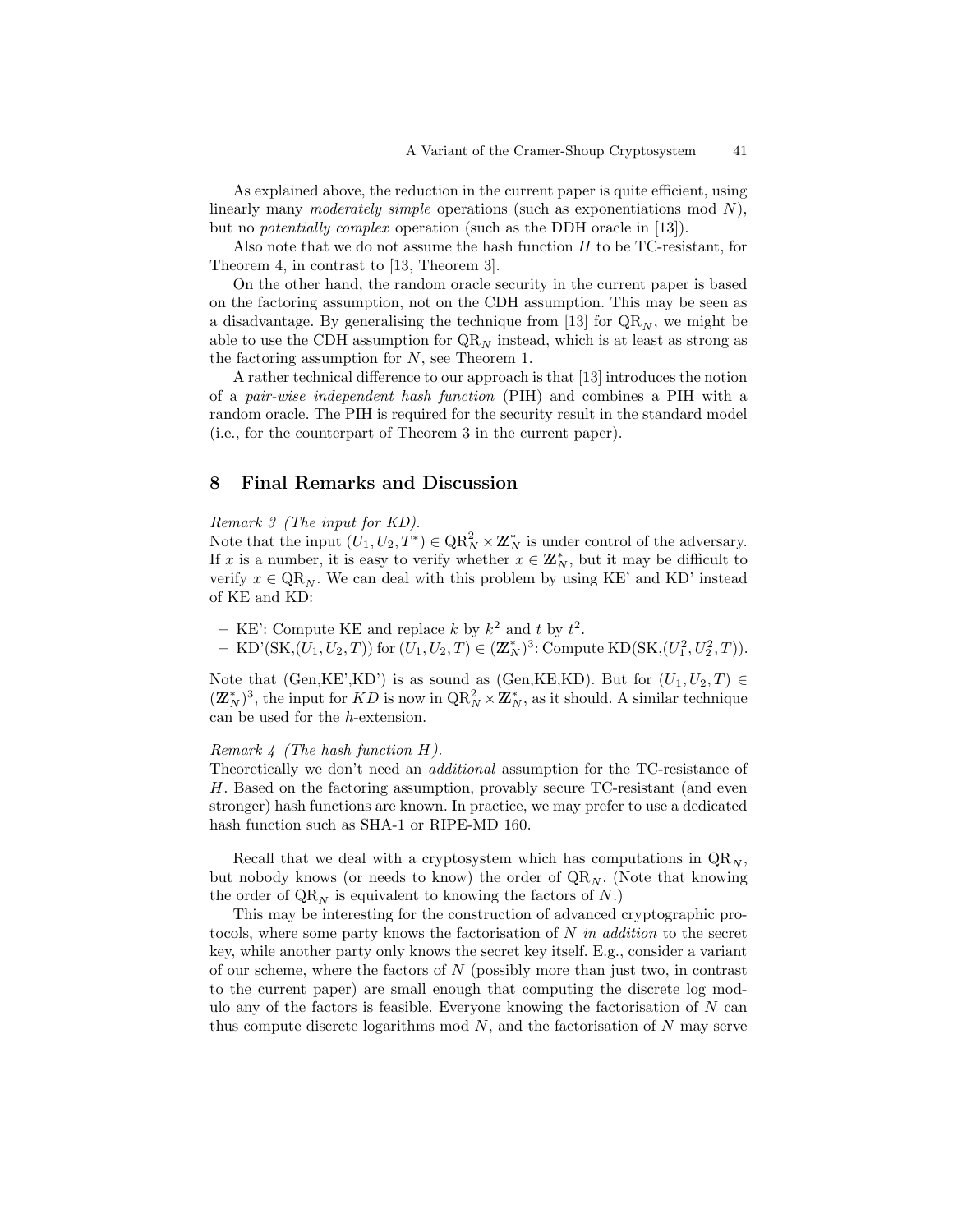As explained above, the reduction in the current paper is quite efficient, using linearly many moderately simple operations (such as exponentiations mod  $N$ ), but no potentially complex operation (such as the DDH oracle in [13]).

Also note that we do not assume the hash function  $H$  to be TC-resistant, for Theorem 4, in contrast to [13, Theorem 3].

On the other hand, the random oracle security in the current paper is based on the factoring assumption, not on the CDH assumption. This may be seen as a disadvantage. By generalising the technique from [13] for  $\mathbb{QR}_N$ , we might be able to use the CDH assumption for  $QR_N$  instead, which is at least as strong as the factoring assumption for N, see Theorem 1.

A rather technical difference to our approach is that [13] introduces the notion of a pair-wise independent hash function (PIH) and combines a PIH with a random oracle. The PIH is required for the security result in the standard model (i.e., for the counterpart of Theorem 3 in the current paper).

### 8 Final Remarks and Discussion

#### Remark 3 (The input for KD).

Note that the input  $(U_1, U_2, T^*) \in QR_N^2 \times \mathbb{Z}_N^*$  is under control of the adversary. If x is a number, it is easy to verify whether  $x \in \mathbb{Z}_N^*$ , but it may be difficult to verify  $x \in QR_N$ . We can deal with this problem by using KE' and KD' instead of KE and KD:

- KE': Compute KE and replace k by  $k^2$  and t by  $t^2$ .

 $-$  KD'(SK,(U<sub>1</sub>,U<sub>2</sub>,T)) for  $(U_1, U_2, T) \in (\mathbb{Z}_N^*)^3$ : Compute KD(SK,(U<sub>1</sub><sup>2</sup>,U<sub>2</sub><sup>2</sup>,T)).

Note that (Gen,KE',KD') is as sound as (Gen,KE,KD). But for  $(U_1, U_2, T) \in$  $(\mathbb{Z}_N^*)^3$ , the input for  $KD$  is now in  $\text{QR}_N^2 \times \mathbb{Z}_N^*$ , as it should. A similar technique can be used for the h-extension.

#### Remark  $\frac{1}{4}$  (The hash function H).

Theoretically we don't need an additional assumption for the TC-resistance of H. Based on the factoring assumption, provably secure TC-resistant (and even stronger) hash functions are known. In practice, we may prefer to use a dedicated hash function such as SHA-1 or RIPE-MD 160.

Recall that we deal with a cryptosystem which has computations in  $QR_N$ , but nobody knows (or needs to know) the order of  $\mathrm{QR}_N$ . (Note that knowing the order of  $QR_N$  is equivalent to knowing the factors of N.)

This may be interesting for the construction of advanced cryptographic protocols, where some party knows the factorisation of  $N$  in addition to the secret key, while another party only knows the secret key itself. E.g., consider a variant of our scheme, where the factors of  $N$  (possibly more than just two, in contrast to the current paper) are small enough that computing the discrete log modulo any of the factors is feasible. Everyone knowing the factorisation of  $N$  can thus compute discrete logarithms mod  $N$ , and the factorisation of  $N$  may serve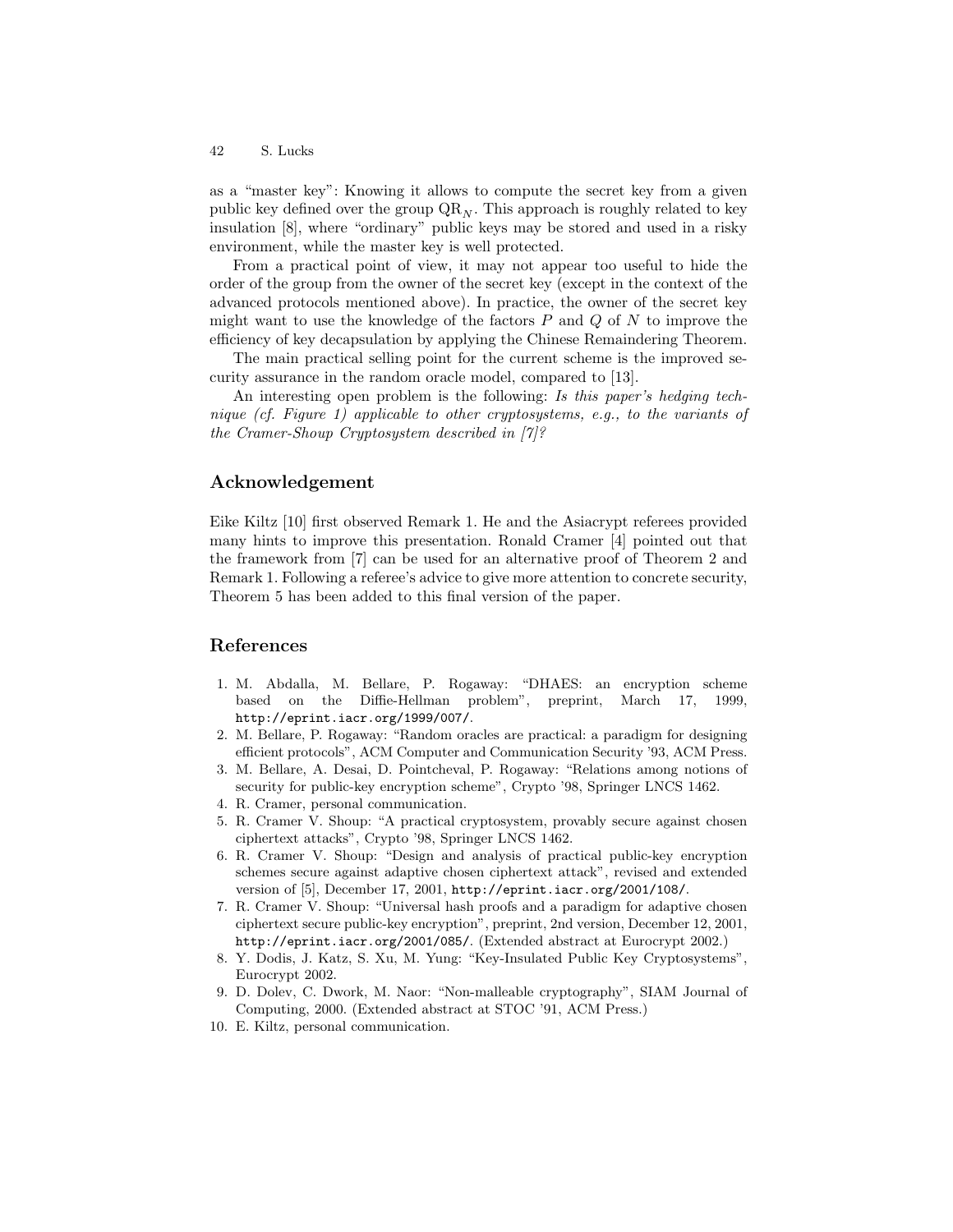as a "master key": Knowing it allows to compute the secret key from a given public key defined over the group  $\mathbb{Q}\mathbb{R}_N$ . This approach is roughly related to key insulation [8], where "ordinary" public keys may be stored and used in a risky environment, while the master key is well protected.

From a practical point of view, it may not appear too useful to hide the order of the group from the owner of the secret key (except in the context of the advanced protocols mentioned above). In practice, the owner of the secret key might want to use the knowledge of the factors  $P$  and  $Q$  of  $N$  to improve the efficiency of key decapsulation by applying the Chinese Remaindering Theorem.

The main practical selling point for the current scheme is the improved security assurance in the random oracle model, compared to [13].

An interesting open problem is the following: Is this paper's hedging technique (cf. Figure 1) applicable to other cryptosystems, e.g., to the variants of the Cramer-Shoup Cryptosystem described in [7]?

# Acknowledgement

Eike Kiltz [10] first observed Remark 1. He and the Asiacrypt referees provided many hints to improve this presentation. Ronald Cramer [4] pointed out that the framework from [7] can be used for an alternative proof of Theorem 2 and Remark 1. Following a referee's advice to give more attention to concrete security, Theorem 5 has been added to this final version of the paper.

### References

- 1. M. Abdalla, M. Bellare, P. Rogaway: "DHAES: an encryption scheme based on the Diffie-Hellman problem", preprint, March 17, 1999, http://eprint.iacr.org/1999/007/.
- 2. M. Bellare, P. Rogaway: "Random oracles are practical: a paradigm for designing efficient protocols", ACM Computer and Communication Security '93, ACM Press.
- 3. M. Bellare, A. Desai, D. Pointcheval, P. Rogaway: "Relations among notions of security for public-key encryption scheme", Crypto '98, Springer LNCS 1462.
- 4. R. Cramer, personal communication.
- 5. R. Cramer V. Shoup: "A practical cryptosystem, provably secure against chosen ciphertext attacks", Crypto '98, Springer LNCS 1462.
- 6. R. Cramer V. Shoup: "Design and analysis of practical public-key encryption schemes secure against adaptive chosen ciphertext attack", revised and extended version of [5], December 17, 2001, http://eprint.iacr.org/2001/108/.
- 7. R. Cramer V. Shoup: "Universal hash proofs and a paradigm for adaptive chosen ciphertext secure public-key encryption", preprint, 2nd version, December 12, 2001, http://eprint.iacr.org/2001/085/. (Extended abstract at Eurocrypt 2002.)
- 8. Y. Dodis, J. Katz, S. Xu, M. Yung: "Key-Insulated Public Key Cryptosystems", Eurocrypt 2002.
- 9. D. Dolev, C. Dwork, M. Naor: "Non-malleable cryptography", SIAM Journal of Computing, 2000. (Extended abstract at STOC '91, ACM Press.)
- 10. E. Kiltz, personal communication.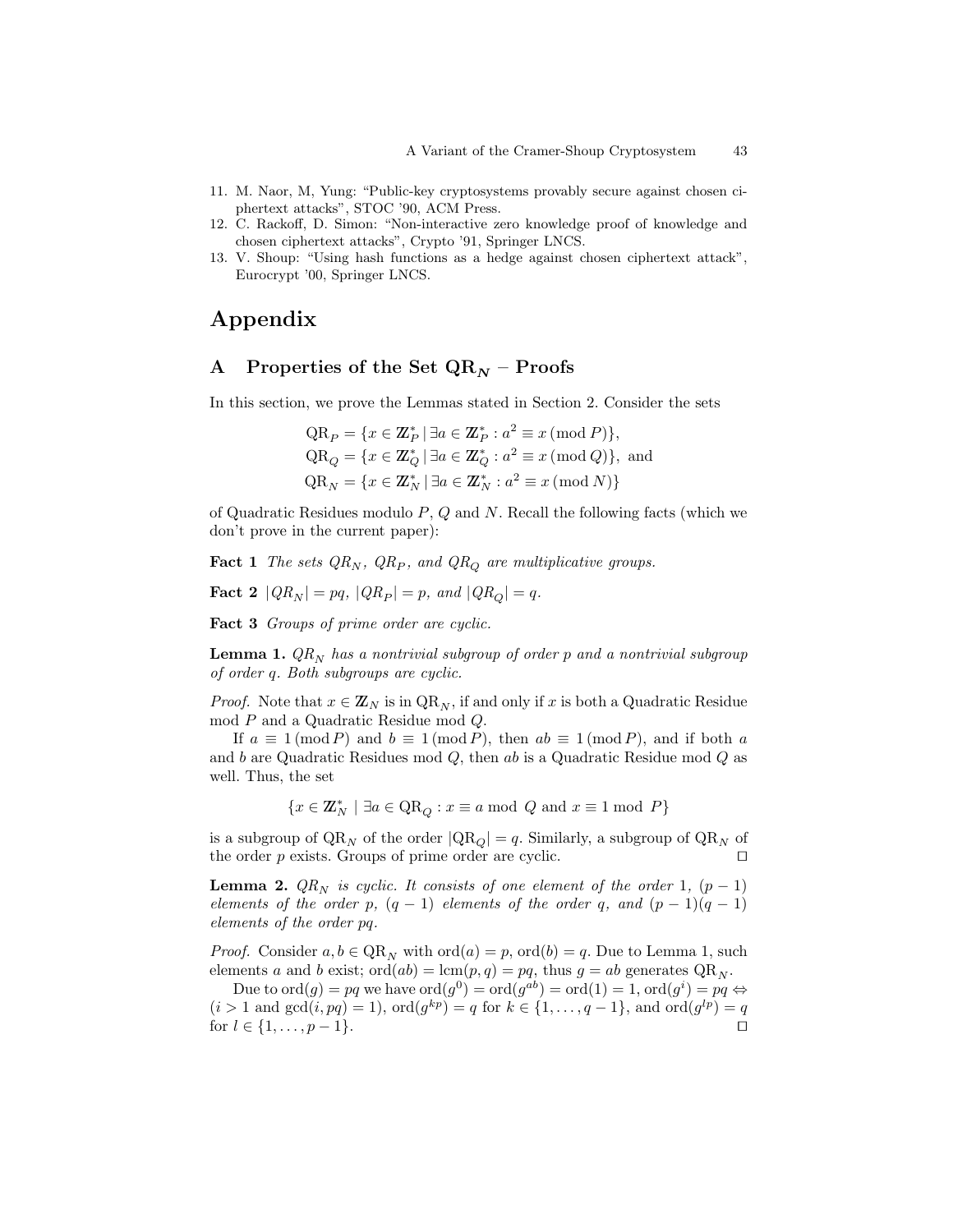- 11. M. Naor, M, Yung: "Public-key cryptosystems provably secure against chosen ciphertext attacks", STOC '90, ACM Press.
- 12. C. Rackoff, D. Simon: "Non-interactive zero knowledge proof of knowledge and chosen ciphertext attacks", Crypto '91, Springer LNCS.
- 13. V. Shoup: "Using hash functions as a hedge against chosen ciphertext attack", Eurocrypt '00, Springer LNCS.

# Appendix

# A Properties of the Set  $QR_N$  – Proofs

In this section, we prove the Lemmas stated in Section 2. Consider the sets

$$
QR_P = \{x \in \mathbb{Z}_P^* \mid \exists a \in \mathbb{Z}_P^* : a^2 \equiv x \pmod{P} \},\
$$
  
\n
$$
QR_Q = \{x \in \mathbb{Z}_Q^* \mid \exists a \in \mathbb{Z}_Q^* : a^2 \equiv x \pmod{Q} \},\
$$
and  
\n
$$
QR_N = \{x \in \mathbb{Z}_N^* \mid \exists a \in \mathbb{Z}_N^* : a^2 \equiv x \pmod{N} \}
$$

of Quadratic Residues modulo  $P$ ,  $Q$  and  $N$ . Recall the following facts (which we don't prove in the current paper):

**Fact 1** The sets  $QR_N$ ,  $QR_P$ , and  $QR_Q$  are multiplicative groups.

$$
\textbf{Fact 2 } |QR_N| = pq, |QR_P| = p, \text{ and } |QR_Q| = q.
$$

Fact 3 Groups of prime order are cyclic.

**Lemma 1.**  $QR_N$  has a nontrivial subgroup of order p and a nontrivial subgroup of order q. Both subgroups are cyclic.

*Proof.* Note that  $x \in \mathbb{Z}_N$  is in  $QR_N$ , if and only if x is both a Quadratic Residue mod P and a Quadratic Residue mod Q.

If  $a \equiv 1 \pmod{P}$  and  $b \equiv 1 \pmod{P}$ , then  $ab \equiv 1 \pmod{P}$ , and if both a and b are Quadratic Residues mod  $Q$ , then ab is a Quadratic Residue mod  $Q$  as well. Thus, the set

$$
\{x\in{\rm Z\hspace{-0.2em}Z}_N^*\ |\ \exists a\in{\rm QR}_Q: x\equiv a\ {\rm mod}\ \ Q\ {\rm and}\ x\equiv 1\ {\rm mod}\ P\}
$$

is a subgroup of  $QR_N$  of the order  $|QR_Q| = q$ . Similarly, a subgroup of  $QR_N$  of the order  $p$  exists. Groups of prime order are cyclic.  $\Box$ 

**Lemma 2.**  $QR_N$  is cyclic. It consists of one element of the order 1,  $(p-1)$ elements of the order p,  $(q - 1)$  elements of the order q, and  $(p - 1)(q - 1)$ elements of the order pq.

*Proof.* Consider  $a, b \in QR_N$  with  $\text{ord}(a) = p$ ,  $\text{ord}(b) = q$ . Due to Lemma 1, such elements a and b exist;  $\text{ord}(ab) = \text{lcm}(p, q) = pq$ , thus  $g = ab$  generates  $\text{QR}_N$ .

Due to  $\text{ord}(g) = pq$  we have  $\text{ord}(g^0) = \text{ord}(g^{ab}) = \text{ord}(1) = 1$ ,  $\text{ord}(g^i) = pq \Leftrightarrow$  $(i > 1 \text{ and } gcd(i, pq) = 1), ord(g^{kp}) = q \text{ for } k \in \{1, ..., q - 1\}, \text{ and } ord(g^{lp}) = q$ for  $l \in \{1, ..., p-1\}$ .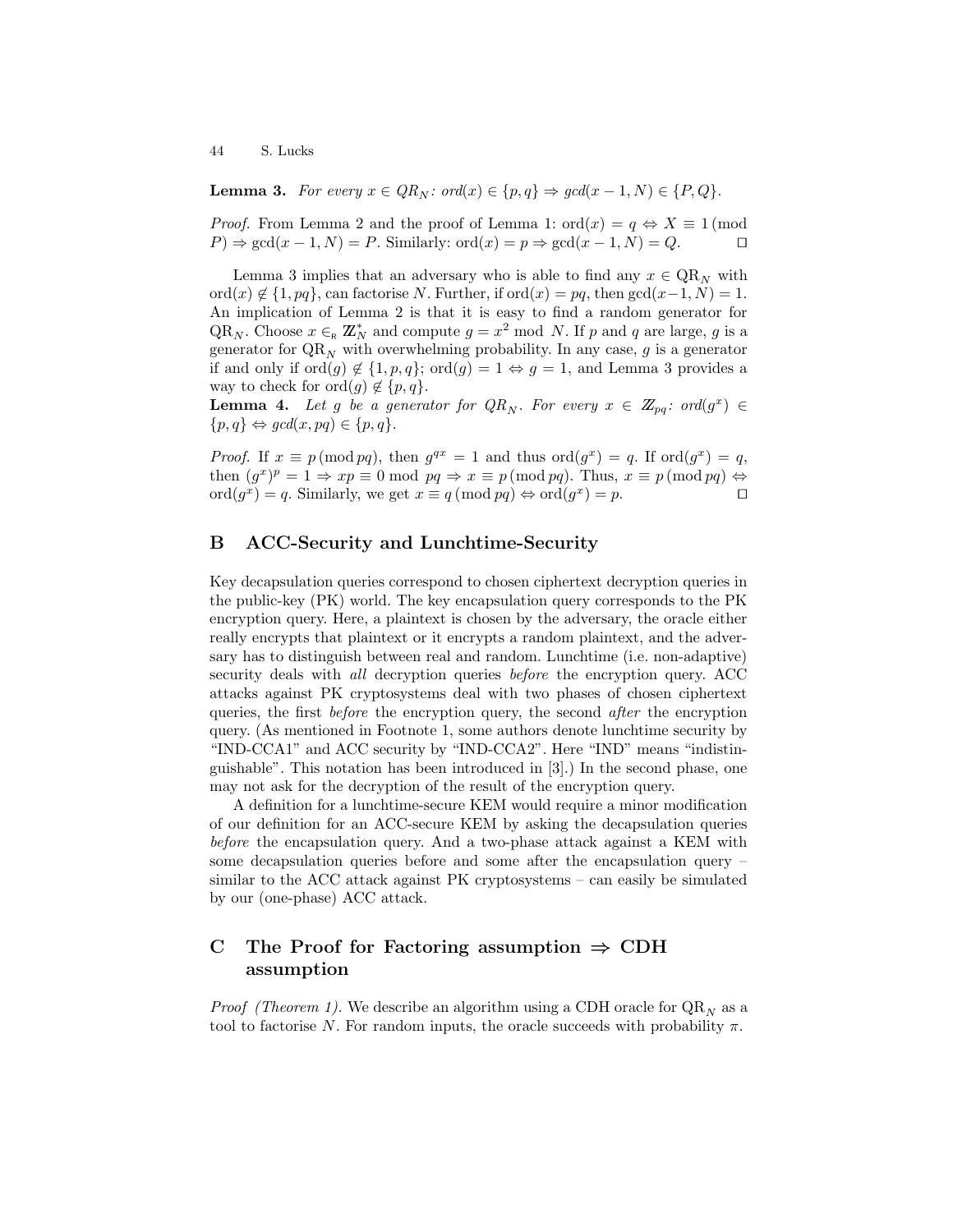**Lemma 3.** For every  $x \in QR_N$ : ord $(x) \in \{p, q\} \Rightarrow \gcd(x - 1, N) \in \{P, Q\}.$ 

*Proof.* From Lemma 2 and the proof of Lemma 1:  $\text{ord}(x) = q \Leftrightarrow X \equiv 1 \pmod{1}$  $P \Rightarrow \gcd(x-1,N) = P$ . Similarly: ord $(x) = p \Rightarrow \gcd(x-1,N) = Q$ .  $\Box$ 

Lemma 3 implies that an adversary who is able to find any  $x \in QR_N$  with ord(x)  $\notin$  {1, pq}, can factorise N. Further, if ord(x) = pq, then  $gcd(x-1, N) = 1$ . An implication of Lemma 2 is that it is easy to find a random generator for QR<sub>N</sub>. Choose  $x \in R \mathbb{Z}_N^*$  and compute  $g = x^2 \mod N$ . If p and q are large, g is a generator for  $QR_N$  with overwhelming probability. In any case, g is a generator if and only if  $\text{ord}(g) \notin \{1, p, q\}$ ;  $\text{ord}(g) = 1 \Leftrightarrow g = 1$ , and Lemma 3 provides a way to check for  $\text{ord}(g) \notin \{p, q\}.$ 

**Lemma 4.** Let g be a generator for  $QR_N$ . For every  $x \in \mathbb{Z}_{pq}$ : ord $(g^x) \in$  $\{p,q\} \Leftrightarrow \gcd(x,pq) \in \{p,q\}.$ 

*Proof.* If  $x \equiv p \pmod{pq}$ , then  $g^{qx} = 1$  and thus  $\text{ord}(g^x) = q$ . If  $\text{ord}(g^x) = q$ , then  $(g^x)^p = 1 \Rightarrow xp \equiv 0 \mod pq \Rightarrow x \equiv p \pmod{pq}$ . Thus,  $x \equiv p \pmod{pq} \Leftrightarrow$  $\operatorname{ord}(g^x) = q$ . Similarly, we get  $x \equiv q \pmod{pq} \Leftrightarrow \operatorname{ord}(g^x) = p$ .

# B ACC-Security and Lunchtime-Security

Key decapsulation queries correspond to chosen ciphertext decryption queries in the public-key (PK) world. The key encapsulation query corresponds to the PK encryption query. Here, a plaintext is chosen by the adversary, the oracle either really encrypts that plaintext or it encrypts a random plaintext, and the adversary has to distinguish between real and random. Lunchtime (i.e. non-adaptive) security deals with *all* decryption queries *before* the encryption query. ACC attacks against PK cryptosystems deal with two phases of chosen ciphertext queries, the first before the encryption query, the second after the encryption query. (As mentioned in Footnote 1, some authors denote lunchtime security by "IND-CCA1" and ACC security by "IND-CCA2". Here "IND" means "indistinguishable". This notation has been introduced in [3].) In the second phase, one may not ask for the decryption of the result of the encryption query.

A definition for a lunchtime-secure KEM would require a minor modification of our definition for an ACC-secure KEM by asking the decapsulation queries before the encapsulation query. And a two-phase attack against a KEM with some decapsulation queries before and some after the encapsulation query – similar to the ACC attack against PK cryptosystems – can easily be simulated by our (one-phase) ACC attack.

# C The Proof for Factoring assumption  $\Rightarrow$  CDH assumption

*Proof (Theorem 1).* We describe an algorithm using a CDH oracle for  $QR_N$  as a tool to factorise N. For random inputs, the oracle succeeds with probability  $\pi$ .